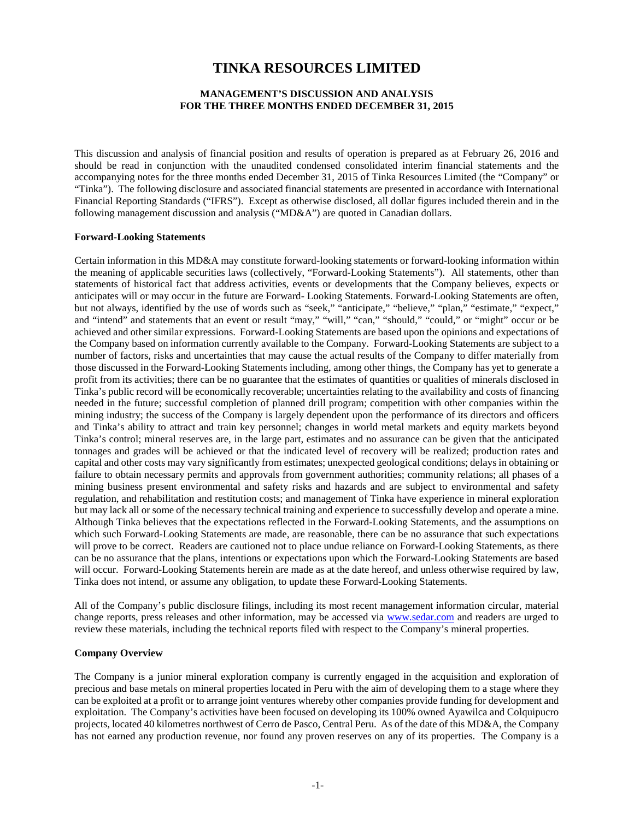# **TINKA RESOURCES LIMITED**

# **MANAGEMENT'S DISCUSSION AND ANALYSIS FOR THE THREE MONTHS ENDED DECEMBER 31, 2015**

This discussion and analysis of financial position and results of operation is prepared as at February 26, 2016 and should be read in conjunction with the unaudited condensed consolidated interim financial statements and the accompanying notes for the three months ended December 31, 2015 of Tinka Resources Limited (the "Company" or "Tinka"). The following disclosure and associated financial statements are presented in accordance with International Financial Reporting Standards ("IFRS"). Except as otherwise disclosed, all dollar figures included therein and in the following management discussion and analysis ("MD&A") are quoted in Canadian dollars.

#### **Forward-Looking Statements**

Certain information in this MD&A may constitute forward-looking statements or forward-looking information within the meaning of applicable securities laws (collectively, "Forward-Looking Statements"). All statements, other than statements of historical fact that address activities, events or developments that the Company believes, expects or anticipates will or may occur in the future are Forward- Looking Statements. Forward-Looking Statements are often, but not always, identified by the use of words such as "seek," "anticipate," "believe," "plan," "estimate," "expect," and "intend" and statements that an event or result "may," "will," "can," "should," "could," or "might" occur or be achieved and other similar expressions. Forward-Looking Statements are based upon the opinions and expectations of the Company based on information currently available to the Company. Forward-Looking Statements are subject to a number of factors, risks and uncertainties that may cause the actual results of the Company to differ materially from those discussed in the Forward-Looking Statements including, among other things, the Company has yet to generate a profit from its activities; there can be no guarantee that the estimates of quantities or qualities of minerals disclosed in Tinka's public record will be economically recoverable; uncertainties relating to the availability and costs of financing needed in the future; successful completion of planned drill program; competition with other companies within the mining industry; the success of the Company is largely dependent upon the performance of its directors and officers and Tinka's ability to attract and train key personnel; changes in world metal markets and equity markets beyond Tinka's control; mineral reserves are, in the large part, estimates and no assurance can be given that the anticipated tonnages and grades will be achieved or that the indicated level of recovery will be realized; production rates and capital and other costs may vary significantly from estimates; unexpected geological conditions; delays in obtaining or failure to obtain necessary permits and approvals from government authorities; community relations; all phases of a mining business present environmental and safety risks and hazards and are subject to environmental and safety regulation, and rehabilitation and restitution costs; and management of Tinka have experience in mineral exploration but may lack all or some of the necessary technical training and experience to successfully develop and operate a mine. Although Tinka believes that the expectations reflected in the Forward-Looking Statements, and the assumptions on which such Forward-Looking Statements are made, are reasonable, there can be no assurance that such expectations will prove to be correct. Readers are cautioned not to place undue reliance on Forward-Looking Statements, as there can be no assurance that the plans, intentions or expectations upon which the Forward-Looking Statements are based will occur. Forward-Looking Statements herein are made as at the date hereof, and unless otherwise required by law, Tinka does not intend, or assume any obligation, to update these Forward-Looking Statements.

All of the Company's public disclosure filings, including its most recent management information circular, material change reports, press releases and other information, may be accessed via [www.sedar.com](http://www.sedar.com/) and readers are urged to review these materials, including the technical reports filed with respect to the Company's mineral properties.

## **Company Overview**

The Company is a junior mineral exploration company is currently engaged in the acquisition and exploration of precious and base metals on mineral properties located in Peru with the aim of developing them to a stage where they can be exploited at a profit or to arrange joint ventures whereby other companies provide funding for development and exploitation. The Company's activities have been focused on developing its 100% owned Ayawilca and Colquipucro projects, located 40 kilometres northwest of Cerro de Pasco, Central Peru. As of the date of this MD&A, the Company has not earned any production revenue, nor found any proven reserves on any of its properties. The Company is a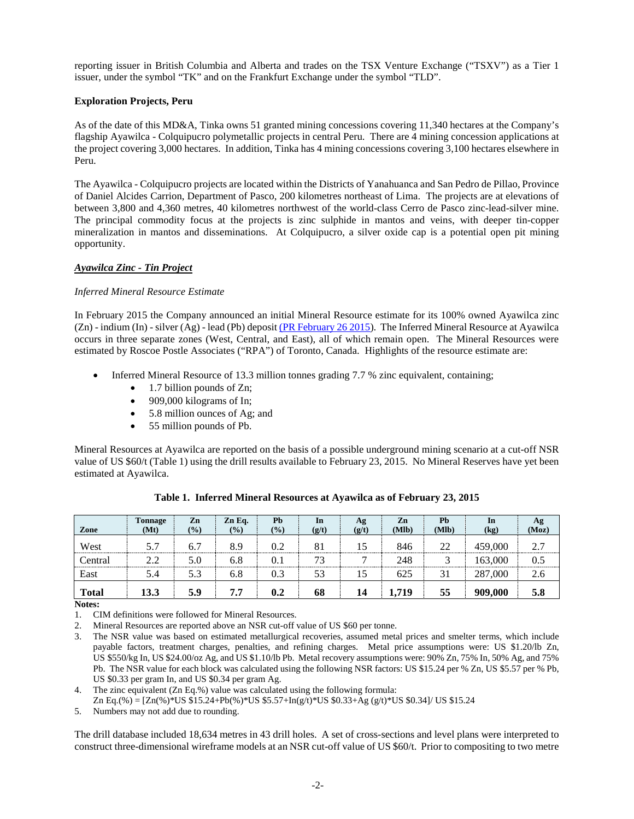reporting issuer in British Columbia and Alberta and trades on the TSX Venture Exchange ("TSXV") as a Tier 1 issuer, under the symbol "TK" and on the Frankfurt Exchange under the symbol "TLD".

## **Exploration Projects, Peru**

As of the date of this MD&A, Tinka owns 51 granted mining concessions covering 11,340 hectares at the Company's flagship Ayawilca - Colquipucro polymetallic projects in central Peru. There are 4 mining concession applications at the project covering 3,000 hectares. In addition, Tinka has 4 mining concessions covering 3,100 hectares elsewhere in Peru.

The Ayawilca - Colquipucro projects are located within the Districts of Yanahuanca and San Pedro de Pillao, Province of Daniel Alcides Carrion, Department of Pasco, 200 kilometres northeast of Lima. The projects are at elevations of between 3,800 and 4,360 metres, 40 kilometres northwest of the world-class Cerro de Pasco zinc-lead-silver mine. The principal commodity focus at the projects is zinc sulphide in mantos and veins, with deeper tin-copper mineralization in mantos and disseminations. At Colquipucro, a silver oxide cap is a potential open pit mining opportunity.

# *Ayawilca Zinc - Tin Project*

## *Inferred Mineral Resource Estimate*

In February 2015 the Company announced an initial Mineral Resource estimate for its 100% owned Ayawilca zinc (Zn) - indium (In) - silver (Ag) - lead (Pb) deposi[t \(PR February 26 2015\)](http://www.tinkaresources.com/news/00-00-tinka-announces-initial-inferred-zinc-resource-of-13-3-million-tonnes-grading-7-697874). The Inferred Mineral Resource at Ayawilca occurs in three separate zones (West, Central, and East), all of which remain open. The Mineral Resources were estimated by Roscoe Postle Associates ("RPA") of Toronto, Canada. Highlights of the resource estimate are:

- Inferred Mineral Resource of 13.3 million tonnes grading 7.7 % zinc equivalent, containing;
	- 1.7 billion pounds of Zn;
	- 909,000 kilograms of In;
	- 5.8 million ounces of Ag; and
	- 55 million pounds of Pb.

Mineral Resources at Ayawilca are reported on the basis of a possible underground mining scenario at a cut-off NSR value of US \$60/t (Table 1) using the drill results available to February 23, 2015. No Mineral Reserves have yet been estimated at Ayawilca.

| Zone         | <b>Tonnage</b><br>(Mt) | Zn<br>$(\%)$ | Zn Eq.<br>$\frac{9}{6}$ | Pb<br>(9/0) | <b>In</b><br>(g/t) | Ag<br>(g/t) | Zn<br>(Mlb) | Ph<br>(Mlb) | In<br>(kg) | Ag<br>(Moz) |
|--------------|------------------------|--------------|-------------------------|-------------|--------------------|-------------|-------------|-------------|------------|-------------|
| West         | 5.7                    | 6.7          | 8.9                     | 0.2         | 81                 | 15          | 846         | 22          | 459,000    | 2.7         |
| Central      | 2.2                    | 5.0          | 6.8                     | 0.1         | 73                 |             | 248         |             | 163.000    | 0.5         |
| East         | 5.4                    | 5.3          | 6.8                     | 0.3         | 53                 | 15          | 625         | 31          | 287,000    | 2.6         |
| <b>Total</b> | 13.3                   | 5.9          | 7.7                     | 0.2         | 68                 | 14          | 1.719       | 55          | 909.000    | 5.8         |

**Table 1. Inferred Mineral Resources at Ayawilca as of February 23, 2015**

**Notes:**

1. CIM definitions were followed for Mineral Resources.

2. Mineral Resources are reported above an NSR cut-off value of US \$60 per tonne.

3. The NSR value was based on estimated metallurgical recoveries, assumed metal prices and smelter terms, which include payable factors, treatment charges, penalties, and refining charges. Metal price assumptions were: US \$1.20/lb Zn, US \$550/kg In, US \$24.00/oz Ag, and US \$1.10/lb Pb. Metal recovery assumptions were: 90% Zn, 75% In, 50% Ag, and 75% Pb. The NSR value for each block was calculated using the following NSR factors: US \$15.24 per % Zn, US \$5.57 per % Pb, US \$0.33 per gram In, and US \$0.34 per gram Ag.

4. The zinc equivalent (Zn Eq.%) value was calculated using the following formula:

Zn Eq.(%) = [Zn(%)\*US \$15.24+Pb(%)\*US \$5.57+In(g/t)\*US \$0.33+Ag (g/t)\*US \$0.34]/ US \$15.24

5. Numbers may not add due to rounding.

The drill database included 18,634 metres in 43 drill holes. A set of cross-sections and level plans were interpreted to construct three-dimensional wireframe models at an NSR cut-off value of US \$60/t. Prior to compositing to two metre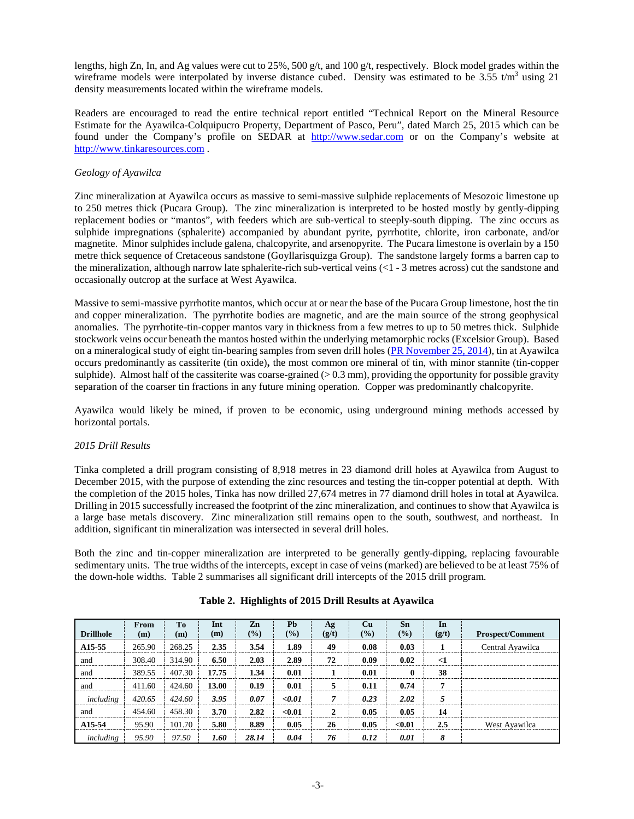lengths, high Zn, In, and Ag values were cut to 25%, 500  $g/t$ , and 100  $g/t$ , respectively. Block model grades within the wireframe models were interpolated by inverse distance cubed. Density was estimated to be 3.55  $t/m<sup>3</sup>$  using 21 density measurements located within the wireframe models.

Readers are encouraged to read the entire technical report entitled "Technical Report on the Mineral Resource Estimate for the Ayawilca-Colquipucro Property, Department of Pasco, Peru", dated March 25, 2015 which can be found under the Company's profile on SEDAR at [http://www.sedar.com](http://www.sedar.com/) or on the Company's website at [http://www.tinkaresources.com](http://www.tinkaresources.com/) .

# *Geology of Ayawilca*

Zinc mineralization at Ayawilca occurs as massive to semi-massive sulphide replacements of Mesozoic limestone up to 250 metres thick (Pucara Group). The zinc mineralization is interpreted to be hosted mostly by gently-dipping replacement bodies or "mantos", with feeders which are sub-vertical to steeply-south dipping. The zinc occurs as sulphide impregnations (sphalerite) accompanied by abundant pyrite, pyrrhotite, chlorite, iron carbonate, and/or magnetite. Minor sulphides include galena, chalcopyrite, and arsenopyrite. The Pucara limestone is overlain by a 150 metre thick sequence of Cretaceous sandstone (Goyllarisquizga Group). The sandstone largely forms a barren cap to the mineralization, although narrow late sphalerite-rich sub-vertical veins (<1 - 3 metres across) cut the sandstone and occasionally outcrop at the surface at West Ayawilca.

Massive to semi-massive pyrrhotite mantos, which occur at or near the base of the Pucara Group limestone, host the tin and copper mineralization. The pyrrhotite bodies are magnetic, and are the main source of the strong geophysical anomalies. The pyrrhotite-tin-copper mantos vary in thickness from a few metres to up to 50 metres thick. Sulphide stockwork veins occur beneath the mantos hosted within the underlying metamorphic rocks (Excelsior Group). Based on a mineralogical study of eight tin-bearing samples from seven drill holes [\(PR November 25, 2014\)](http://www.tinkaresources.com/news/00-00-tinka-discovers-tin-copper-mineralization-beneath-high-grade-zinc-at-ayawilca-685156), tin at Ayawilca occurs predominantly as cassiterite (tin oxide)**,** the most common ore mineral of tin, with minor stannite (tin-copper sulphide). Almost half of the cassiterite was coarse-grained  $(> 0.3 \text{ mm})$ , providing the opportunity for possible gravity separation of the coarser tin fractions in any future mining operation. Copper was predominantly chalcopyrite.

Ayawilca would likely be mined, if proven to be economic, using underground mining methods accessed by horizontal portals.

# *2015 Drill Results*

Tinka completed a drill program consisting of 8,918 metres in 23 diamond drill holes at Ayawilca from August to December 2015, with the purpose of extending the zinc resources and testing the tin-copper potential at depth. With the completion of the 2015 holes, Tinka has now drilled 27,674 metres in 77 diamond drill holes in total at Ayawilca. Drilling in 2015 successfully increased the footprint of the zinc mineralization, and continues to show that Ayawilca is a large base metals discovery. Zinc mineralization still remains open to the south, southwest, and northeast. In addition, significant tin mineralization was intersected in several drill holes.

Both the zinc and tin-copper mineralization are interpreted to be generally gently-dipping, replacing favourable sedimentary units. The true widths of the intercepts, except in case of veins (marked) are believed to be at least 75% of the down-hole widths. Table 2 summarises all significant drill intercepts of the 2015 drill program.

|                     | From   | T <sub>0</sub> | Int   | Zn<br>$($ %) | Pb<br>(%) | Ag                          | <b>Cu</b><br>$($ %) | Sn<br>(%)    | <b>In</b> |                         |
|---------------------|--------|----------------|-------|--------------|-----------|-----------------------------|---------------------|--------------|-----------|-------------------------|
| <b>Drillhole</b>    | (m)    | (m)            | (m)   |              |           | (g/t)                       |                     |              | (g/t)     | <b>Prospect/Comment</b> |
| A <sub>15</sub> -55 | 265.90 | 268.25         | 2.35  | 3.54         | 1.89      | 49                          | 0.08                | 0.03         |           | Central Avawilca        |
| and                 | 308.40 | 314.90         | 6.50  | 2.03         | 2.89      | 72                          | 0.09                | 0.02         | $<$ 1     |                         |
| and                 | 389.55 | 407.30         | 17.75 | 1.34         | 0.01      |                             | 0.01                | $\mathbf{0}$ | 38        |                         |
| and                 | 411.60 | 424.60         | 13.00 | 0.19         | 0.01      |                             | 0.11                | 0.74         | 7         |                         |
| including           | 420.65 | 424.60         | 3.95  | 0.07         | < 0.01    | 7                           | 0.23                | 2.02         |           |                         |
| and                 | 454.60 | 458.30         | 3.70  | 2.82         | < 0.01    | $\mathcal{D}_{\mathcal{L}}$ | 0.05                | 0.05         | 14        |                         |
| A <sub>15</sub> -54 | 95.90  | 101.70         | 5.80  | 8.89         | 0.05      | 26                          | 0.05                | < 0.01       | 2.5       | West Avawilca           |
| including           | 95.90  | 97.50          | 1.60  | 28.14        | 0.04      | 76                          | 0.12                | 0.01         | 8         |                         |

**Table 2. Highlights of 2015 Drill Results at Ayawilca**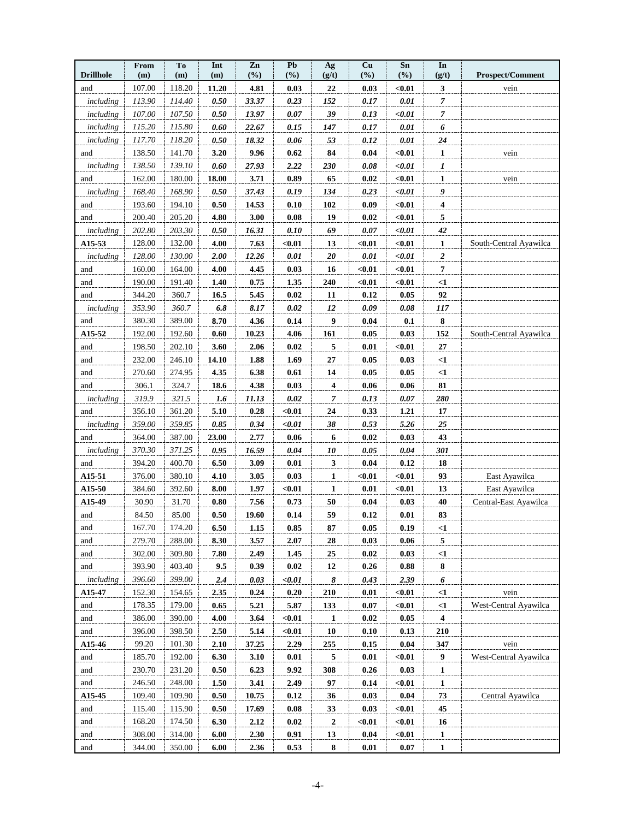| <b>Drillhole</b> | From<br>(m) | To<br>(m) | Int<br>(m) | Zn<br>(%) | P <sub>b</sub><br>(%) | Ag<br>(g/t)      | Cu<br>(%) | S <sub>n</sub><br>(%) | In<br>(g/t)             | <b>Prospect/Comment</b> |
|------------------|-------------|-----------|------------|-----------|-----------------------|------------------|-----------|-----------------------|-------------------------|-------------------------|
| and              | 107.00      | 118.20    | 11.20      | 4.81      | 0.03                  | 22               | 0.03      | $0.01$                | $\mathbf{3}$            | vein                    |
| including        | 113.90      | 114.40    | 0.50       | 33.37     | 0.23                  | 152              | 0.17      | 0.01                  | 7                       |                         |
| including        | 107.00      | 107.50    | 0.50       | 13.97     | 0.07                  | 39               | 0.13      | $0.01$                | 7                       |                         |
| including        | 115.20      | 115.80    | 0.60       | 22.67     | 0.15                  | 147              | 0.17      | 0.01                  | 6                       |                         |
| including        | 117.70      | 118.20    | 0.50       | 18.32     | 0.06                  | 53               | 0.12      | 0.01                  | 24                      |                         |
| and              | 138.50      | 141.70    | 3.20       | 9.96      | 0.62                  | 84               | 0.04      | $0.01$                | $\mathbf{1}$            | vein                    |
| including        | 138.50      | 139.10    | 0.60       | 27.93     | 2.22                  | 230              | 0.08      | $0.01$                | $\boldsymbol{l}$        |                         |
| and              | 162.00      | 180.00    | 18.00      | 3.71      | 0.89                  | 65               | 0.02      | $0.01$                | 1                       | vein                    |
| including        | 168.40      | 168.90    | 0.50       | 37.43     | 0.19                  | 134              | 0.23      | $0.01$                | 9                       |                         |
| and              | 193.60      | 194.10    | 0.50       | 14.53     | 0.10                  | 102              | 0.09      | $0.01$                | $\overline{\mathbf{4}}$ |                         |
| and              | 200.40      | 205.20    | 4.80       | 3.00      | 0.08                  | 19               | 0.02      | $0.01$                | $\sqrt{5}$              |                         |
| including        | 202.80      | 203.30    | 0.50       | 16.31     | 0.10                  | 69               | 0.07      | $0.01$                | 42                      |                         |
| A15-53           | 128.00      | 132.00    | 4.00       | 7.63      | $0.01$                | 13               | $0.01$    | $0.01$                | 1                       | South-Central Ayawilca  |
| including        | 128.00      | 130.00    | 2.00       | 12.26     | 0.01                  | 20               | 0.01      | $0.01$                | $\boldsymbol{2}$        |                         |
| and              | 160.00      | 164.00    | 4.00       | 4.45      | 0.03                  | 16               | $0.01$    | $0.01$                | 7                       |                         |
| and              | 190.00      | 191.40    | 1.40       | 0.75      | 1.35                  | 240              | $0.01$    | $0.01$                | $<$ 1                   |                         |
| and              | 344.20      | 360.7     | 16.5       | 5.45      | 0.02                  | 11               | 0.12      | 0.05                  | 92                      |                         |
| including        | 353.90      | 360.7     | 6.8        | 8.17      | 0.02                  | 12               | 0.09      | 0.08                  | 117                     |                         |
| and              | 380.30      | 389.00    | 8.70       | 4.36      | 0.14                  | 9                | 0.04      | 0.1                   | 8                       |                         |
| A15-52           | 192.00      | 192.60    | 0.60       | 10.23     | 4.06                  | 161              | 0.05      | 0.03                  | 152                     | South-Central Ayawilca  |
| and              | 198.50      | 202.10    | 3.60       | 2.06      | 0.02                  | 5                | 0.01      | $0.01$                | 27                      |                         |
| and              | 232.00      | 246.10    | 14.10      | 1.88      | 1.69                  | 27               | 0.05      | 0.03                  | $<$ 1                   |                         |
| and              | 270.60      | 274.95    | 4.35       | 6.38      | 0.61                  | 14               | 0.05      | 0.05                  | $\leq$ 1                |                         |
| and              | 306.1       | 324.7     | 18.6       | 4.38      | 0.03                  | 4                | 0.06      | 0.06                  | 81                      |                         |
| including        | 319.9       | 321.5     | 1.6        | 11.13     | 0.02                  | $\boldsymbol{7}$ | 0.13      | 0.07                  | 280                     |                         |
| and              | 356.10      | 361.20    | 5.10       | 0.28      | $0.01$                | 24               | 0.33      | 1.21                  | 17                      |                         |
| including        | 359.00      | 359.85    | 0.85       | 0.34      | $0.01$                | $38\,$           | 0.53      | 5.26                  | 25                      |                         |
| and              | 364.00      | 387.00    | 23.00      | 2.77      | 0.06                  | 6                | $0.02\,$  | 0.03                  | 43                      |                         |
| including        | 370.30      | 371.25    | 0.95       | 16.59     | 0.04                  | 10               | 0.05      | 0.04                  | 301                     |                         |
| and              | 394.20      | 400.70    | 6.50       | 3.09      | 0.01                  | 3                | 0.04      | 0.12                  | 18                      |                         |
| A15-51           | 376.00      | 380.10    | 4.10       | 3.05      | 0.03                  | $\mathbf{1}$     | $0.01$    | $0.01$                | 93                      | East Ayawilca           |
| A15-50           | 384.60      | 392.60    | 8.00       | 1.97      | $0.01$                | 1                | 0.01      | $0.01$                | 13                      | East Ayawilca           |
| A15-49           | 30.90       | 31.70     | 0.80       | 7.56      | 0.73                  | 50               | 0.04      | 0.03                  | 40                      | Central-East Ayawilca   |
| and              | 84.50       | 85.00     | 0.50       | 19.60     | 0.14                  | 59               | 0.12      | 0.01                  | 83                      |                         |
| and              | 167.70      | 174.20    | 6.50       | 1.15      | 0.85                  | 87               | 0.05      | 0.19                  | $<$ 1                   |                         |
| and              | 279.70      | 288.00    | 8.30       | 3.57      | 2.07                  | 28               | 0.03      | 0.06                  | $\overline{\mathbf{5}}$ |                         |
| and              | 302.00      | 309.80    | 7.80       | 2.49      | 1.45                  | 25               | 0.02      | 0.03                  | $\leq1$                 |                         |
| and              | 393.90      | 403.40    | 9.5        | 0.39      | 0.02                  | 12               | 0.26      | $0.88\,$              | $\bf 8$                 |                         |
| including        | 396.60      | 399.00    | 2.4        | 0.03      | $0.01$                | $\pmb{8}$        | 0.43      | 2.39                  | 6                       |                         |
| A15-47           | 152.30      | 154.65    | 2.35       | 0.24      | 0.20                  | 210              | 0.01      | $0.01$                | $\leq 1$                | vein                    |
| and              | 178.35      | 179.00    | 0.65       | 5.21      | 5.87                  | 133              | $0.07\,$  | $0.01$                | $<$ 1                   | West-Central Ayawilca   |
| and              | 386.00      | 390.00    | 4.00       | 3.64      | $0.01$                | $\mathbf{1}$     | 0.02      | 0.05                  | $\overline{\mathbf{4}}$ |                         |
| and              | 396.00      | 398.50    | 2.50       | 5.14      | $0.01$                | ${\bf 10}$       | 0.10      | 0.13                  | 210                     |                         |
| A15-46           | 99.20       | 101.30    | 2.10       | 37.25     | 2.29                  | 255              | 0.15      | $\mathbf{0.04}$       | 347                     | vein                    |
| and              | 185.70      | 192.00    | 6.30       | 3.10      | 0.01                  | $\sqrt{5}$       | 0.01      | $0.01$                | $\boldsymbol{9}$        | West-Central Ayawilca   |
| and              | 230.70      | 231.20    | 0.50       | 6.23      | 9.92                  | 308              | 0.26      | 0.03                  | $\mathbf{1}$            |                         |
| and              | 246.50      | 248.00    | 1.50       | 3.41      | 2.49                  | 97               | 0.14      | $0.01$                | $\mathbf{1}$            |                         |
| A15-45           | 109.40      | 109.90    | 0.50       | 10.75     | 0.12                  | 36               | 0.03      | 0.04                  | 73                      | Central Ayawilca        |
| and              | 115.40      | 115.90    | 0.50       | 17.69     | 0.08                  | 33               | 0.03      | $0.01$                | 45                      |                         |
| and              | 168.20      | 174.50    | 6.30       | 2.12      | 0.02                  | $\boldsymbol{2}$ | $0.01$    | $0.01$                | 16                      |                         |
| and              | 308.00      | 314.00    | 6.00       | 2.30      | 0.91                  | 13               | 0.04      | $0.01$                | $\mathbf{1}$            |                         |
| and              | 344.00      | 350.00    | 6.00       | 2.36      | 0.53                  | 8                | 0.01      | 0.07                  | 1                       |                         |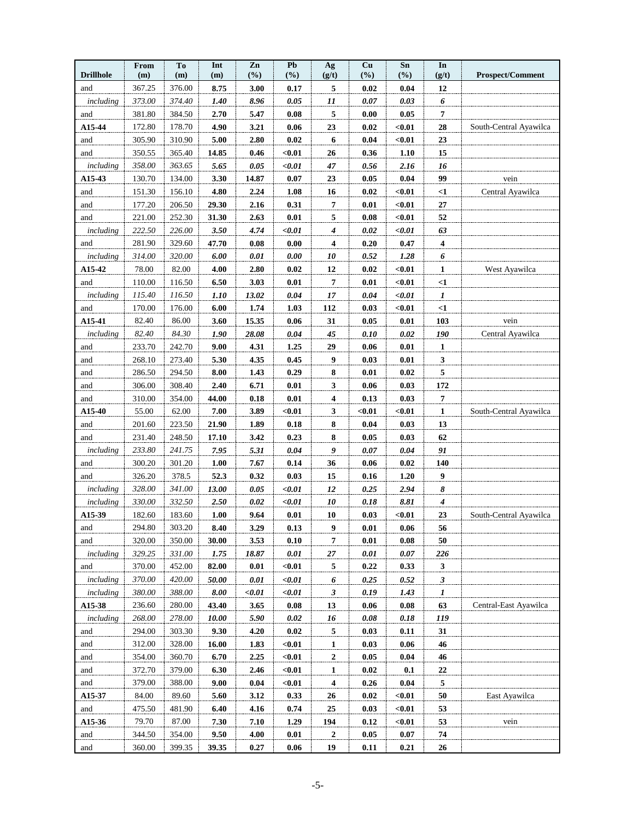| <b>Drillhole</b> | From<br>(m) | To<br>(m) | Int<br>(m) | Zn<br>$(\%)$ | Pb<br>$(\%)$ | Ag<br>(g/t)             | Cu<br>$(\%)$ | Sn<br>(%) | In<br>(g/t)                 | <b>Prospect/Comment</b> |
|------------------|-------------|-----------|------------|--------------|--------------|-------------------------|--------------|-----------|-----------------------------|-------------------------|
| and              | 367.25      | 376.00    | 8.75       | 3.00         | 0.17         | 5                       | 0.02         | 0.04      | 12                          |                         |
| including        | 373.00      | 374.40    | 1.40       | 8.96         | 0.05         | 11                      | 0.07         | 0.03      | 6                           |                         |
| and              | 381.80      | 384.50    | 2.70       | 5.47         | 0.08         | 5                       | 0.00         | 0.05      | 7                           |                         |
| A15-44           | 172.80      | 178.70    | 4.90       | 3.21         | 0.06         | 23                      | 0.02         | $0.01$    | 28                          | South-Central Ayawilca  |
| and              | 305.90      | 310.90    | 5.00       | 2.80         | 0.02         | 6                       | 0.04         | $0.01$    | 23                          |                         |
| $\quad$ and      | 350.55      | 365.40    | 14.85      | 0.46         | $0.01$       | 26                      | 0.36         | 1.10      | 15                          |                         |
| including        | 358.00      | 363.65    | 5.65       | 0.05         | $0.01$       | 47                      | 0.56         | 2.16      | 16                          |                         |
| A15-43           | 130.70      | 134.00    | 3.30       | 14.87        | 0.07         | 23                      | 0.05         | 0.04      | 99                          | vein                    |
| and              | 151.30      | 156.10    | 4.80       | 2.24         | 1.08         | 16                      | 0.02         | $0.01$    | $<$ 1                       | Central Ayawilca        |
| and              | 177.20      | 206.50    | 29.30      | 2.16         | 0.31         | 7                       | 0.01         | $0.01$    | 27                          |                         |
| and              | 221.00      | 252.30    | 31.30      | 2.63         | 0.01         | 5                       | 0.08         | $0.01$    | 52                          |                         |
| including        | 222.50      | 226.00    | 3.50       | 4.74         | $0.01$       | 4                       | 0.02         | $0.01$    | 63                          |                         |
| and              | 281.90      | 329.60    | 47.70      | 0.08         | 0.00         | 4                       | 0.20         | 0.47      | $\overline{\mathbf{4}}$     |                         |
| including        | 314.00      | 320.00    | 6.00       | 0.01         | 0.00         | 10                      | 0.52         | 1.28      | 6                           |                         |
| A15-42           | 78.00       | 82.00     | 4.00       | 2.80         | 0.02         | 12                      | 0.02         | $0.01$    | $\mathbf{1}$                | West Ayawilca           |
| and              | 110.00      | 116.50    | 6.50       | 3.03         | 0.01         | 7                       | 0.01         | $0.01$    | $\leq$ 1                    |                         |
| including        | 115.40      | 116.50    | 1.10       | 13.02        | 0.04         | 17                      | 0.04         | $0.01$    | 1                           |                         |
| and              | 170.00      | 176.00    | 6.00       | 1.74         | 1.03         | 112                     | 0.03         | $0.01$    | $<$ 1                       |                         |
| A15-41           | 82.40       | 86.00     | 3.60       | 15.35        | 0.06         | 31                      | 0.05         | 0.01      | 103                         | vein                    |
| including        | 82.40       | 84.30     | 1.90       | 28.08        | 0.04         | 45                      | 0.10         | 0.02      | 190                         | Central Ayawilca        |
| and              | 233.70      | 242.70    | 9.00       | 4.31         | 1.25         | 29                      | 0.06         | 0.01      | $\mathbf{1}$                |                         |
| and              | 268.10      | 273.40    | 5.30       | 4.35         | 0.45         | 9                       | 0.03         | 0.01      | $\mathbf{3}$                |                         |
| and              | 286.50      | 294.50    | 8.00       | 1.43         | 0.29         | 8                       | 0.01         | 0.02      | 5                           |                         |
| and              | 306.00      | 308.40    | 2.40       | 6.71         | 0.01         | 3                       | 0.06         | 0.03      | 172                         |                         |
| and              | 310.00      | 354.00    | 44.00      | 0.18         | 0.01         | 4                       | 0.13         | 0.03      | $\overline{7}$              |                         |
| A15-40           | 55.00       | 62.00     | 7.00       | 3.89         | $0.01$       | 3                       | $0.01$       | $0.01$    | 1                           | South-Central Ayawilca  |
| and              | 201.60      | 223.50    | 21.90      | 1.89         | 0.18         | 8                       | 0.04         | 0.03      | 13                          |                         |
| and              | 231.40      | 248.50    | 17.10      | 3.42         | 0.23         | 8                       | 0.05         | 0.03      | 62                          |                         |
| including        | 233.80      | 241.75    | 7.95       | 5.31         | 0.04         | 9                       | 0.07         | 0.04      | 91                          |                         |
| and              | 300.20      | 301.20    | 1.00       | 7.67         | 0.14         | 36                      | 0.06         | 0.02      | 140                         |                         |
| and              | 326.20      | 378.5     | 52.3       | 0.32         | 0.03         | 15                      | 0.16         | 1.20      | 9                           |                         |
| including        | 328.00      | 341.00    | 13.00      | 0.05         | $0.01$       | 12                      | 0.25         | 2.94      | 8                           |                         |
| including        | 330.00      | 332.50    | 2.50       | 0.02         | $0.01$       | 10                      | 0.18         | 8.81      | $\boldsymbol{4}$            |                         |
| A15-39           | 182.60      | 183.60    | 1.00       | 9.64         | 0.01         | 10                      | 0.03         | $0.01$    | 23                          | South-Central Ayawilca  |
| and              | 294.80      | 303.20    | 8.40       | 3.29         | 0.13         | 9                       | 0.01         | 0.06      | 56                          |                         |
| and              | 320.00      | 350.00    | 30.00      | 3.53         | 0.10         | $\pmb{7}$               | 0.01         | 0.08      | 50                          |                         |
| including        | 329.25      | 331.00    | 1.75       | 18.87        | 0.01         | $27\,$                  | 0.01         | 0.07      | 226                         |                         |
| and              | 370.00      | 452.00    | 82.00      | 0.01         | $0.01$       | 5                       | 0.22         | 0.33      | $\mathbf{3}$                |                         |
| including        | 370.00      | 420.00    | 50.00      | 0.01         | $0.01$       | 6                       | 0.25         | 0.52      | $\boldsymbol{\mathfrak{z}}$ |                         |
| including        | 380.00      | 388.00    | 8.00       | $0.01$       | $0.01$       | $\boldsymbol{\beta}$    | 0.19         | 1.43      | $\boldsymbol{l}$            |                         |
| A15-38           | 236.60      | 280.00    | 43.40      | 3.65         | 0.08         | 13                      | 0.06         | 0.08      | 63                          | Central-East Ayawilca   |
| including        | 268.00      | 278.00    | 10.00      | 5.90         | 0.02         | 16                      | 0.08         | 0.18      | 119                         |                         |
| and              | 294.00      | 303.30    | 9.30       | 4.20         | 0.02         | 5                       | 0.03         | 0.11      | 31                          |                         |
| and              | 312.00      | 328.00    | 16.00      | 1.83         | $0.01$       | 1                       | 0.03         | 0.06      | 46                          |                         |
| and              | 354.00      | 360.70    | 6.70       | 2.25         | $0.01$       | $\boldsymbol{2}$        | 0.05         | 0.04      | 46                          |                         |
| and              | 372.70      | 379.00    | 6.30       | 2.46         | $0.01$       | $\mathbf{1}$            | 0.02         | 0.1       | 22                          |                         |
| and              | 379.00      | 388.00    | 9.00       | 0.04         | $0.01$       | $\overline{\mathbf{4}}$ | 0.26         | 0.04      | 5                           |                         |
| A15-37           | 84.00       | 89.60     | 5.60       | 3.12         | 0.33         | 26                      | $0.02\,$     | $0.01$    | 50                          | East Ayawilca           |
| and              | 475.50      | 481.90    | 6.40       | 4.16         | 0.74         | 25                      | 0.03         | $0.01$    | 53                          |                         |
| A15-36           | 79.70       | 87.00     | 7.30       | 7.10         | 1.29         | 194                     | 0.12         | $0.01$    | 53                          | vein                    |
| and              | 344.50      | 354.00    | 9.50       | 4.00         | 0.01         | $\boldsymbol{2}$        | 0.05         | 0.07      | 74                          |                         |
| and              | 360.00      | 399.35    | 39.35      | 0.27         | 0.06         | 19                      | 0.11         | 0.21      | 26                          |                         |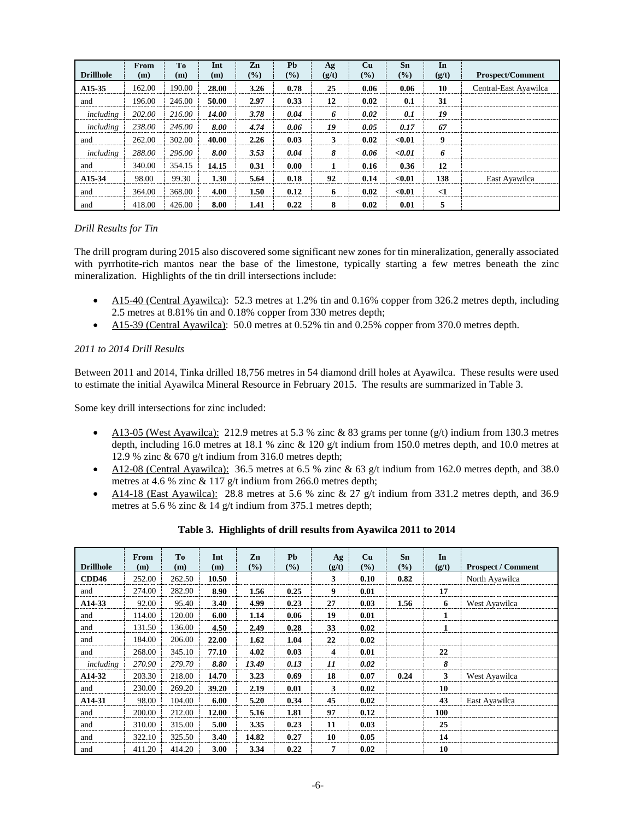| <b>Drillhole</b>    | From<br>(m) | Tо<br>(m) | Int<br>(m) | Zn<br>$($ %) | Pb<br>$\binom{0}{0}$ | Аg<br>(g/t) | Cu<br>$(\%)$ | Sn<br>$\frac{9}{6}$ | In<br>(g/t) | <b>Prospect/Comment</b> |
|---------------------|-------------|-----------|------------|--------------|----------------------|-------------|--------------|---------------------|-------------|-------------------------|
| A <sub>15</sub> -35 | 162.00      | 190.00    | 28.00      | 3.26         | 0.78                 | 25          | 0.06         | 0.06                | 10          | Central-East Avawilca   |
| and                 | 196.00      | 246.00    | 50.00      | 2.97         | 0.33                 | 12          | 0.02         | 0.1                 | 31          |                         |
| including           | 202.00      | 216.00    | 14.00      | 3.78         | 0.04                 | 6           | 0.02         | 0.1                 | 19          |                         |
| including           | 238.00      | 246.00    | 8.00       | 4.74         | 0.06                 | 19          | 0.05         | 0.17                | 67          |                         |
| and                 | 262.00      | 302.00    | 40.00      | 2.26         | 0.03                 | 3           | 0.02         | < 0.01              | -9          |                         |
| including           | 288.00      | 296.00    | 8.00       | 3.53         | 0.04                 | 8           | 0.06         | < 0.01              | 6           |                         |
| and                 | 340.00      | 354.15    | 14.15      | 0.31         | 0.00                 |             | 0.16         | 0.36                | 12          |                         |
| A <sub>15</sub> -34 | 98.00       | 99.30     | 1.30       | 5.64         | 0.18                 | 92          | 0.14         | < 0.01              | 138         | East Avawilca           |
| and                 | 364.00      | 368.00    | 4.00       | 1.50         | 0.12                 | 6           | 0.02         | < 0.01              | ا ح         |                         |
| and                 | 418.00      | 426.00    | 8.00       | 1.41         | 0.22                 | 8           | 0.02         | 0.01                | 5           |                         |

# *Drill Results for Tin*

The drill program during 2015 also discovered some significant new zones for tin mineralization, generally associated with pyrrhotite-rich mantos near the base of the limestone, typically starting a few metres beneath the zinc mineralization. Highlights of the tin drill intersections include:

- A15-40 (Central Ayawilca): 52.3 metres at 1.2% tin and 0.16% copper from 326.2 metres depth, including 2.5 metres at 8.81% tin and 0.18% copper from 330 metres depth;
- A15-39 (Central Ayawilca): 50.0 metres at 0.52% tin and 0.25% copper from 370.0 metres depth.

# *2011 to 2014 Drill Results*

Between 2011 and 2014, Tinka drilled 18,756 metres in 54 diamond drill holes at Ayawilca. These results were used to estimate the initial Ayawilca Mineral Resource in February 2015. The results are summarized in Table 3.

Some key drill intersections for zinc included:

- A13-05 (West Ayawilca): 212.9 metres at 5.3 % zinc & 83 grams per tonne  $(g/t)$  indium from 130.3 metres depth, including 16.0 metres at 18.1 % zinc & 120 g/t indium from 150.0 metres depth, and 10.0 metres at 12.9 % zinc & 670 g/t indium from 316.0 metres depth;
- A12-08 (Central Ayawilca): 36.5 metres at 6.5 % zinc & 63 g/t indium from 162.0 metres depth, and 38.0 metres at 4.6 % zinc & 117 g/t indium from 266.0 metres depth;
- A14-18 (East Ayawilca): 28.8 metres at 5.6 % zinc & 27 g/t indium from 331.2 metres depth, and 36.9 metres at 5.6 % zinc & 14 g/t indium from 375.1 metres depth;

| <b>Drillhole</b>    | From<br>(m) | Tо<br>(m) | Int<br>(m) | Zn<br>(%) | <b>Pb</b><br>$($ %) | Ag<br>(g/t) | Cu<br>(%) | <b>Sn</b><br>$($ %) | In<br>(g/t) | <b>Prospect / Comment</b> |
|---------------------|-------------|-----------|------------|-----------|---------------------|-------------|-----------|---------------------|-------------|---------------------------|
| CDD46               | 252.00      | 262.50    | 10.50      |           |                     | 3           | 0.10      | 0.82                |             | North Ayawilca            |
| and                 | 274.00      | 282.90    | 8.90       | 1.56      | 0.25                | 9           | 0.01      |                     | 17          |                           |
| A14-33              | 92.00       | 95.40     | 3.40       | 4.99      | 0.23                | 27          | 0.03      | 1.56                | 6           | West Ayawilca             |
| and                 | 114.00      | 120.00    | 6.00       | 1.14      | 0.06                | 19          | 0.01      |                     | 1           |                           |
| and                 | 131.50      | 136.00    | 4.50       | 2.49      | 0.28                | 33          | 0.02      |                     |             |                           |
| and                 | 184.00      | 206.00    | 22.00      | 1.62      | 1.04                | 22          | 0.02      |                     |             |                           |
| and                 | 268.00      | 345.10    | 77.10      | 4.02      | 0.03                | 4           | 0.01      |                     | 22          |                           |
| including           | 270.90      | 279.70    | 8.80       | 13.49     | 0.13                | 11          | 0.02      |                     | 8           |                           |
| A <sub>14</sub> -32 | 203.30      | 218.00    | 14.70      | 3.23      | 0.69                | 18          | 0.07      | 0.24                | 3           | West Ayawilca             |
| and                 | 230.00      | 269.20    | 39.20      | 2.19      | 0.01                | 3           | 0.02      |                     | 10          |                           |
| A14-31              | 98.00       | 104.00    | 6.00       | 5.20      | 0.34                | 45          | 0.02      |                     | 43          | East Ayawilca             |
| and                 | 200.00      | 212.00    | 12.00      | 5.16      | 1.81                | 97          | 0.12      |                     | <b>100</b>  |                           |
| and                 | 310.00      | 315.00    | 5.00       | 3.35      | 0.23                | 11          | 0.03      |                     | 25          |                           |
| and                 | 322.10      | 325.50    | 3.40       | 14.82     | 0.27                | 10          | 0.05      |                     | 14          |                           |
| and                 | 411.20      | 414.20    | 3.00       | 3.34      | 0.22                | 7           | 0.02      |                     | 10          |                           |

**Table 3. Highlights of drill results from Ayawilca 2011 to 2014**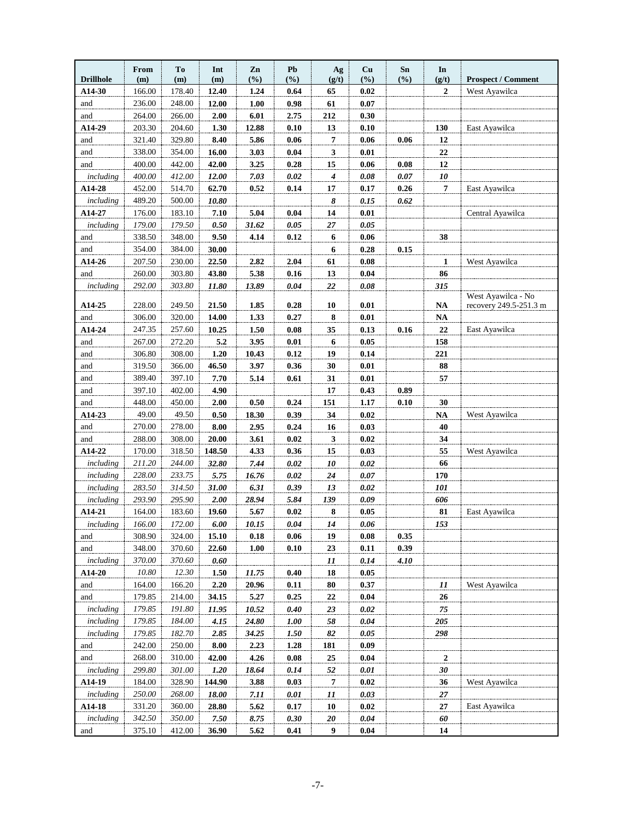| <b>Drillhole</b> | From             | Tо                                        | Int           | Zn            | Pb           | Ag             | Cu                   | Sn       | In               |                                            |
|------------------|------------------|-------------------------------------------|---------------|---------------|--------------|----------------|----------------------|----------|------------------|--------------------------------------------|
|                  | (m)              | (m)                                       | (m)           | (%)           | (%)          | (g/t)          | (%)                  | (%)      | (g/t)            | <b>Prospect / Comment</b><br>West Ayawilca |
| A14-30           | 166.00           | 178.40                                    | 12.40         | 1.24          | 0.64         | 65             | 0.02                 |          | $\overline{2}$   |                                            |
| and              | 236.00           | 248.00                                    | 12.00         | 1.00          | 0.98         | 61             | $0.07\,$             |          |                  |                                            |
| and<br>A14-29    | 264.00<br>203.30 | 266.00<br>204.60                          | 2.00<br>1.30  | 6.01<br>12.88 | 2.75<br>0.10 | 212            | 0.30<br>0.10         |          | 130              |                                            |
|                  |                  |                                           |               |               |              | 13             |                      |          |                  | East Ayawilca                              |
| and              | 321.40           | 329.80                                    | 8.40<br>16.00 | 5.86<br>3.03  | 0.06<br>0.04 | 7<br>3         | $0.06\,$<br>$0.01\,$ | 0.06     | 12<br>22         |                                            |
| and              | 338.00<br>400.00 | 354.00<br>442.00                          | 42.00         | 3.25          | 0.28         | 15             | 0.06                 | 0.08     | 12               |                                            |
| and<br>including | 400.00           | 412.00                                    | 12.00         | 7.03          | 0.02         | 4              | 0.08                 | $0.07\,$ | 10               |                                            |
| A14-28           |                  |                                           | 62.70         | 0.52          | 0.14         | 17             | 0.17                 | 0.26     | 7                |                                            |
| including        | 452.00<br>489.20 | 514.70<br>500.00                          | 10.80         |               |              | 8              | 0.15                 | 0.62     |                  | East Ayawilca                              |
| A14-27           | 176.00           | 183.10                                    | 7.10          | 5.04          | 0.04         | 14             | 0.01                 |          |                  | Central Ayawilca                           |
| including        | 179.00           | 179.50                                    | 0.50          | 31.62         | 0.05         | 27             | 0.05                 |          |                  |                                            |
| and              | 338.50           | 348.00                                    | 9.50          | 4.14          | 0.12         | 6              | 0.06                 |          | 38               |                                            |
| and              | 354.00           | 384.00                                    | 30.00         |               |              | 6              | 0.28                 | 0.15     |                  |                                            |
| A14-26           | 207.50           | 230.00                                    | 22.50         | 2.82          | 2.04         | 61             | $\bf{0.08}$          |          | 1                | West Ayawilca                              |
| and              | 260.00           | 303.80                                    | 43.80         | 5.38          | 0.16         | 13             | 0.04                 |          | 86               |                                            |
| including        | 292.00           | 303.80                                    | 11.80         | 13.89         | 0.04         | 22             | 0.08                 |          | 315              |                                            |
|                  |                  |                                           |               |               |              |                |                      |          |                  | West Ayawilca - No                         |
| A14-25           | 228.00           | 249.50                                    | 21.50         | 1.85          | 0.28         | 10             | 0.01                 |          | NA               | recovery 249.5-251.3 m                     |
| and              | 306.00           | 320.00                                    | 14.00         | 1.33          | 0.27         | 8              | $0.01\,$             |          | NA               |                                            |
| A14-24           | 247.35           | 257.60                                    | 10.25         | 1.50          | 0.08         | 35             | 0.13                 | 0.16     | 22               | East Ayawilca                              |
| and              | 267.00           | 272.20                                    | 5.2           | 3.95          | 0.01         | 6              | 0.05                 |          | 158              |                                            |
| and              | 306.80           | 308.00                                    | 1.20          | 10.43         | 0.12         | 19             | 0.14                 |          | 221              |                                            |
| and              | 319.50           | 366.00                                    | 46.50         | 3.97          | 0.36         | 30             | 0.01                 |          | 88               |                                            |
| and              | 389.40           | 397.10                                    | 7.70          | 5.14          | 0.61         | 31             | 0.01                 |          | 57               |                                            |
| and              | 397.10           | 402.00                                    | 4.90          |               |              | 17             | 0.43                 | 0.89     |                  |                                            |
| and              | 448.00           | 450.00                                    | 2.00          | 0.50          | 0.24         | 151            | 1.17                 | 0.10     | 30               |                                            |
| A14-23           | 49.00            | 49.50                                     | 0.50          | 18.30         | 0.39         | 34             | 0.02                 |          | <b>NA</b>        | West Ayawilca                              |
| and              | 270.00           | 278.00                                    | 8.00          | 2.95          | 0.24         | 16             | 0.03                 |          | 40               |                                            |
| and              | 288.00           | 308.00                                    | 20.00         | 3.61          | 0.02         | 3              | 0.02                 |          | 34               |                                            |
| A14-22           | 170.00           | 318.50                                    | 148.50        | 4.33          | 0.36         | 15             | 0.03                 |          | 55               | West Ayawilca                              |
| including        | 211.20           | 244.00                                    | 32.80         | 7.44          | 0.02         | 10             | $0.02\,$             |          | 66               |                                            |
| including        | 228.00           | 233.75                                    | 5.75          | 16.76         | 0.02         | 24             | 0.07                 |          | 170              |                                            |
| including        | 283.50           | 314.50                                    | 31.00         | 6.31          | 0.39         | 13             | 0.02                 |          | 101              |                                            |
| including        | 293.90           | 295.90                                    | 2.00          | 28.94         | 5.84         | 139            | 0.09                 |          | 606              |                                            |
| A14-21           | 164.00           | 183.60                                    | 19.60         | 5.67          | 0.02         | 8              | 0.05                 |          | 81               | East Ayawilca                              |
| including        | 166.00           | $\ensuremath{\mathnormal{172.00}}\xspace$ | 6.00          | 10.15         | 0.04         | 14             | $0.06\,$             |          | 153              |                                            |
| and              | 308.90           | 324.00                                    | 15.10         | 0.18          | 0.06         | 19             | 0.08                 | 0.35     |                  |                                            |
| and              | 348.00           | 370.60                                    | 22.60         | 1.00          | 0.10         | 23             | 0.11                 | 0.39     |                  |                                            |
| including        | 370.00           | 370.60                                    | 0.60          |               |              | 11             | 0.14                 | 4.10     |                  |                                            |
| A14-20           | 10.80            | 12.30                                     | 1.50          | 11.75         | 0.40         | 18             | 0.05                 |          |                  |                                            |
| and              | 164.00           | 166.20                                    | 2.20          | 20.96         | 0.11         | 80             | 0.37                 |          | 11               | West Ayawilca                              |
| and              | 179.85           | 214.00                                    | 34.15         | 5.27          | 0.25         | 22             | 0.04                 |          | 26               |                                            |
| including        | 179.85           | 191.80                                    | 11.95         | 10.52         | 0.40         | 23             | $0.02\,$             |          | 75               |                                            |
| including        | 179.85           | 184.00                                    | 4.15          | 24.80         | 1.00         | 58             | 0.04                 |          | 205              |                                            |
| including        | 179.85           | 182.70                                    | 2.85          | 34.25         | 1.50         | 82             | 0.05                 |          | 298              |                                            |
| and              | 242.00           | 250.00                                    | 8.00          | 2.23          | 1.28         | 181            | 0.09                 |          |                  |                                            |
| and              | 268.00           | 310.00                                    | 42.00         | 4.26          | 0.08         | 25             | 0.04                 |          | $\boldsymbol{2}$ |                                            |
| including        | 299.80           | 301.00                                    | 1.20          | 18.64         | 0.14         | 52             | 0.01                 |          | 30               |                                            |
| A14-19           | 184.00           | 328.90                                    | 144.90        | 3.88          | 0.03         | $\overline{z}$ | 0.02                 |          | 36               | West Ayawilca                              |
| including        | 250.00           | 268.00                                    | 18.00         | 7.11          | 0.01         | 11             | 0.03                 |          | 27               |                                            |
| A14-18           | 331.20           | 360.00                                    | 28.80         | 5.62          | 0.17         | 10             | 0.02                 |          | 27               | East Ayawilca                              |
| including        | 342.50           | 350.00                                    | 7.50          | 8.75          | 0.30         | 20             | 0.04                 |          | 60               |                                            |
| and              | 375.10           | 412.00                                    | 36.90         | 5.62          | 0.41         | 9              | 0.04                 |          | 14               |                                            |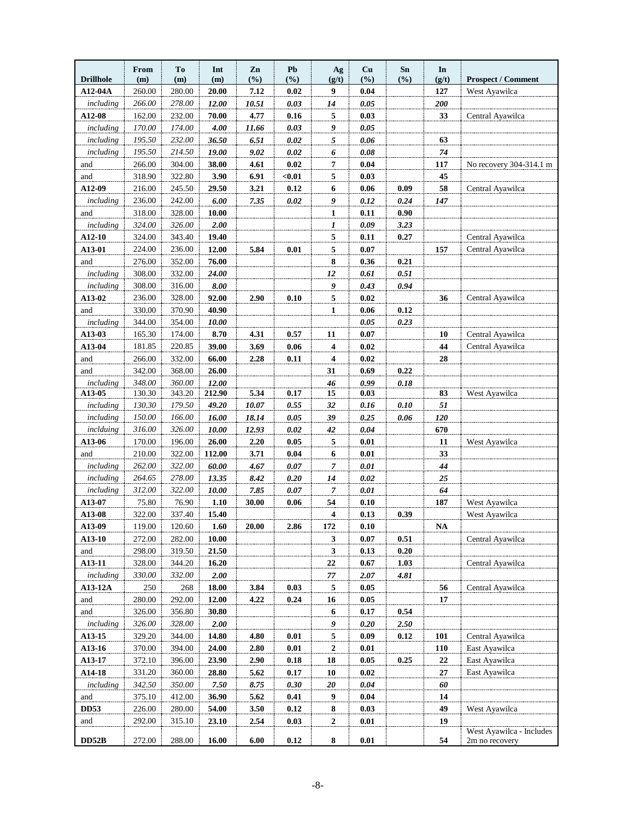| <b>Drillhole</b>    | <b>From</b><br>(m) | Tо<br>(m)        | Int<br>(m)     | Zn<br>(%)     | Pb<br>(%)    | Ag<br>(g/t)             | <b>Cu</b><br>(%) | Sn<br>(%) | In<br>(g/t)   | <b>Prospect / Comment</b>                  |
|---------------------|--------------------|------------------|----------------|---------------|--------------|-------------------------|------------------|-----------|---------------|--------------------------------------------|
| A12-04A             | 260.00             | 280.00           | 20.00          | 7.12          | 0.02         | 9                       | 0.04             |           | 127           | West Ayawilca                              |
| including           | 266.00             | 278.00           | <i>12.00</i>   | 10.51         | 0.03         | 14                      | 0.05             |           | <b>200</b>    |                                            |
| A12-08              | 162.00             | 232.00           | 70.00          | 4.77          | 0.16         | 5                       | 0.03             |           | 33            | Central Ayawilca                           |
| including           | $\it 170.00$       | 174.00           | 4.00           | 11.66         | 0.03         | $\overline{9}$          | 0.05             |           |               |                                            |
| including           | 195.50             | 232.00           | 36.50          | 6.51          | 0.02         | 5                       | 0.06             |           | 63            |                                            |
| including           | 195.50             | 214.50           | 19.00          | 9.02          | 0.02         | 6                       | 0.08             |           | 74            |                                            |
| and                 | 266.00             | 304.00           | 38.00          | 4.61          | 0.02         | 7                       | 0.04             |           | 117           | No recovery 304-314.1 m                    |
| and                 | 318.90             | 322.80           | 3.90           | 6.91          | $0.01$       | 5                       | 0.03             |           | 45            |                                            |
| A12-09              | 216.00             | 245.50           | 29.50          | 3.21          | 0.12         | 6                       | 0.06             | 0.09      | 58            | Central Ayawilca                           |
| including           | 236.00             | 242.00           | 6.00           | 7.35          | 0.02         | 9                       | 0.12             | 0.24      | 147           |                                            |
| and                 | 318.00             | 328.00           | 10.00          |               |              | 1                       | 0.11             | 0.90      |               |                                            |
| including           | 324.00             | 326.00           | 2.00           |               |              | 1                       | 0.09             | 3.23      |               |                                            |
| A12-10              | 324.00             | 343.40           | 19.40          |               |              | 5                       | 0.11             | 0.27      |               | Central Ayawilca                           |
| A13-01              | 224.00             | 236.00           | 12.00          | 5.84          | 0.01         | 5                       | 0.07             |           | 157           | Central Ayawilca                           |
| and                 | 276.00             | 352.00           | 76.00          |               |              | 8                       | 0.36             | 0.21      |               |                                            |
| including           | 308.00             | 332.00           | 24.00          |               |              | 12                      | 0.61             | 0.51      |               |                                            |
| including           | 308.00             | 316.00           | 8.00           |               |              | 9                       | 0.43             | 0.94      |               |                                            |
| A13-02              | 236.00             | 328.00           | 92.00          | 2.90          | 0.10         | 5                       | 0.02             |           | 36            | Central Ayawilca                           |
| and                 | 330.00             | 370.90           | 40.90          |               |              | 1                       | 0.06             | 0.12      |               |                                            |
| including           | 344.00             | 354.00           | 10.00          |               |              |                         | 0.05             | 0.23      |               |                                            |
| A13-03              | 165.30             | 174.00           | 8.70           | 4.31          | 0.57         | 11                      | 0.07             |           | 10            | Central Ayawilca                           |
| A13-04              | 181.85             | 220.85           | 39.00          | 3.69          | 0.06         | $\overline{4}$          | 0.02             |           | 44            | Central Ayawilca                           |
| and                 | 266.00             | 332.00           | 66.00          | 2.28          | 0.11         | 4                       | 0.02             |           | 28            |                                            |
| and                 | 342.00             | 368.00           | 26.00          |               |              | 31                      | 0.69             | 0.22      |               |                                            |
| including           | 348.00             | 360.00           | 12.00          |               |              | 46                      | 0.99             | 0.18      |               |                                            |
| A13-05              | 130.30             | 343.20           | 212.90         | 5.34          | 0.17         | 15                      | 0.03             |           | 83            | West Ayawilca                              |
| including           | 130.30             | 179.50           | 49.20          | 10.07         | 0.55         | 32<br>39                | 0.16             | 0.10      | 51            |                                            |
| including           | 150.00             | 166.00           | 16.00          | 18.14         | 0.05         |                         | 0.25<br>0.04     | 0.06      | 120<br>670    |                                            |
| inclduing<br>A13-06 | 316.00<br>170.00   | 326.00<br>196.00 | 10.00<br>26.00 | 12.93<br>2.20 | 0.02<br>0.05 | 42<br>5                 | 0.01             |           | 11            | West Ayawilca                              |
| and                 | 210.00             | 322.00           | 112.00         | 3.71          | 0.04         | 6                       | 0.01             |           | 33            |                                            |
| including           | 262.00             | 322.00           | 60.00          | 4.67          | 0.07         | 7                       | 0.01             |           | 44            |                                            |
| including           | 264.65             | 278.00           | 13.35          | 8.42          | 0.20         | 14                      | 0.02             |           | 25            |                                            |
| including           | 312.00             | 322.00           | 10.00          | 7.85          | 0.07         | 7                       | 0.01             |           | 64            |                                            |
| A13-07              | 75.80              | 76.90            | 1.10           | 30.00         | 0.06         | 54                      | 0.10             |           | 187           | West Ayawilca                              |
| A13-08              | 322.00             | 337.40           | 15.40          |               |              | 4                       | 0.13             | 0.39      |               | West Ayawilca                              |
| A13-09              | 119.00             | 120.60           | 1.60           | 20.00         | 2.86         | 172                     | $\mathbf{0.10}$  |           | $\mathbf{NA}$ |                                            |
| A13-10              | 272.00             | 282.00           | 10.00          |               |              | $\overline{\mathbf{3}}$ | $0.07\,$         | 0.51      |               | Central Ayawilca                           |
| and                 | 298.00             | 319.50           | 21.50          |               |              | $\overline{3}$          | 0.13             | 0.20      |               |                                            |
| A13-11              | 328.00             | 344.20           | 16.20          |               |              | $\bf{22}$               | 0.67             | 1.03      |               | Central Ayawilca                           |
| including           | 330.00             | 332.00           | 2.00           |               |              | 77                      | 2.07             | 4.81      |               |                                            |
| A13-12A             | 250                | 268              | 18.00          | 3.84          | 0.03         | 5                       | 0.05             |           | 56            | Central Ayawilca                           |
| and                 | 280.00             | 292.00           | 12.00          | 4.22          | 0.24         | 16                      | 0.05             |           | 17            |                                            |
| and                 | 326.00             | 356.80           | 30.80          |               |              | $\overline{6}$          | 0.17             | 0.54      |               |                                            |
| including           | 326.00             | 328.00           | 2.00           |               |              | $\overline{9}$          | 0.20             | 2.50      |               |                                            |
| A13-15              | 329.20             | 344.00           | 14.80          | 4.80          | 0.01         | $\overline{5}$          | 0.09             | 0.12      | 101           | Central Ayawilca                           |
| A13-16              | 370.00             | 394.00           | 24.00          | 2.80          | 0.01         | 2                       | 0.01             |           | 110           | East Ayawilca                              |
| A13-17              | 372.10             | 396.00           | 23.90          | 2.90          | 0.18         | 18                      | 0.05             | 0.25      | 22            | East Ayawilca                              |
| A14-18              | 331.20             | 360.00           | 28.80          | 5.62          | 0.17         | 10                      | 0.02             |           | 27            | East Ayawilca                              |
| including           | 342.50             | 350.00           | 7.50           | 8.75          | 0.30         | $\boldsymbol{20}$       | 0.04             |           | 60            |                                            |
| and                 | 375.10             | 412.00           | 36.90          | 5.62          | 0.41         | 9                       | 0.04             |           | 14            |                                            |
| <b>DD53</b>         | 226.00             | 280.00           | 54.00          | 3.50          | 0.12         | $\overline{\mathbf{8}}$ | 0.03             |           | 49            | West Ayawilca                              |
| and                 | 292.00             | 315.10           | 23.10          | 2.54          | 0.03         | $\boldsymbol{2}$        | 0.01             |           | 19            |                                            |
| DD52B               | 272.00             | 288.00           | 16.00          | 6.00          | 0.12         | $\bf 8$                 | $\mathbf{0.01}$  |           | 54            | West Ayawilca - Includes<br>2m no recovery |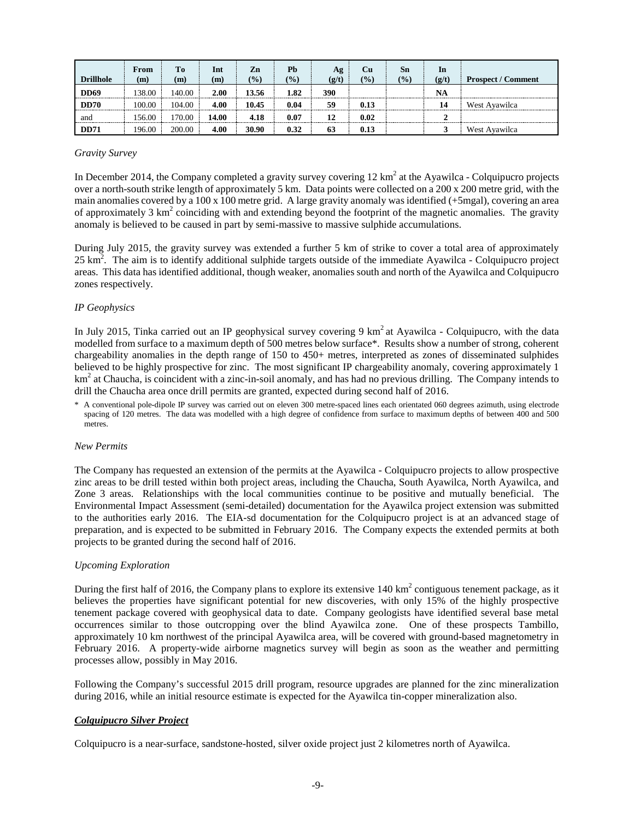| <b>Drillhole</b> | From<br>(m) | To<br>(m) | Int<br>(m) | Zn<br>(%) | Pb<br>$\frac{9}{6}$ | Ag<br>(g/t) | Cu.<br>$\left( \frac{9}{0} \right)$ | Sn<br>$\frac{(0)}{0}$ | In<br>(g/t) | <b>Prospect / Comment</b> |
|------------------|-------------|-----------|------------|-----------|---------------------|-------------|-------------------------------------|-----------------------|-------------|---------------------------|
| <b>DD69</b>      | 38.00       | 140.00    | 2.00       | 13.56     | 1.82                | 390         |                                     |                       | NA          |                           |
| <b>DD70</b>      | 100.00      | 104.00    | 4.00       | 10.45     | 0.04                | 59          | 0.13                                |                       |             | West Avawilca             |
| and              | 56.00       | 70.00     | 14.00      | 4.18      | 0.07                | 12          | 0.02                                |                       |             |                           |
| <b>DD71</b>      | 196.00      | 200.00    | 4.00       | 30.90     | 0.32                | 63          | 0.13                                |                       |             | West Ayawilca             |

## *Gravity Survey*

In December 2014, the Company completed a gravity survey covering  $12 \text{ km}^2$  at the Ayawilca - Colquipucro projects over a north-south strike length of approximately 5 km. Data points were collected on a 200 x 200 metre grid, with the main anomalies covered by a 100 x 100 metre grid. A large gravity anomaly was identified  $(+5 \text{ magal})$ , covering an area of approximately 3  $km^2$  coinciding with and extending beyond the footprint of the magnetic anomalies. The gravity anomaly is believed to be caused in part by semi-massive to massive sulphide accumulations.

During July 2015, the gravity survey was extended a further 5 km of strike to cover a total area of approximately  $25 \text{ km}^2$ . The aim is to identify additional sulphide targets outside of the immediate Ayawilca - Colquipucro project areas. This data has identified additional, though weaker, anomalies south and north of the Ayawilca and Colquipucro zones respectively.

## *IP Geophysics*

In July 2015, Tinka carried out an IP geophysical survey covering 9 km<sup>2</sup> at Ayawilca - Colquipucro, with the data modelled from surface to a maximum depth of 500 metres below surface\*. Results show a number of strong, coherent chargeability anomalies in the depth range of 150 to 450+ metres, interpreted as zones of disseminated sulphides believed to be highly prospective for zinc. The most significant IP chargeability anomaly, covering approximately 1  $km<sup>2</sup>$  at Chaucha, is coincident with a zinc-in-soil anomaly, and has had no previous drilling. The Company intends to drill the Chaucha area once drill permits are granted, expected during second half of 2016.

\* A conventional pole-dipole IP survey was carried out on eleven 300 metre-spaced lines each orientated 060 degrees azimuth, using electrode spacing of 120 metres. The data was modelled with a high degree of confidence from surface to maximum depths of between 400 and 500 metres.

#### *New Permits*

The Company has requested an extension of the permits at the Ayawilca - Colquipucro projects to allow prospective zinc areas to be drill tested within both project areas, including the Chaucha, South Ayawilca, North Ayawilca, and Zone 3 areas. Relationships with the local communities continue to be positive and mutually beneficial. The Environmental Impact Assessment (semi-detailed) documentation for the Ayawilca project extension was submitted to the authorities early 2016. The EIA-sd documentation for the Colquipucro project is at an advanced stage of preparation, and is expected to be submitted in February 2016. The Company expects the extended permits at both projects to be granted during the second half of 2016.

#### *Upcoming Exploration*

During the first half of 2016, the Company plans to explore its extensive  $140 \text{ km}^2$  contiguous tenement package, as it believes the properties have significant potential for new discoveries, with only 15% of the highly prospective tenement package covered with geophysical data to date. Company geologists have identified several base metal occurrences similar to those outcropping over the blind Ayawilca zone. One of these prospects Tambillo, approximately 10 km northwest of the principal Ayawilca area, will be covered with ground-based magnetometry in February 2016. A property-wide airborne magnetics survey will begin as soon as the weather and permitting processes allow, possibly in May 2016.

Following the Company's successful 2015 drill program, resource upgrades are planned for the zinc mineralization during 2016, while an initial resource estimate is expected for the Ayawilca tin-copper mineralization also.

# *Colquipucro Silver Project*

Colquipucro is a near-surface, sandstone-hosted, silver oxide project just 2 kilometres north of Ayawilca.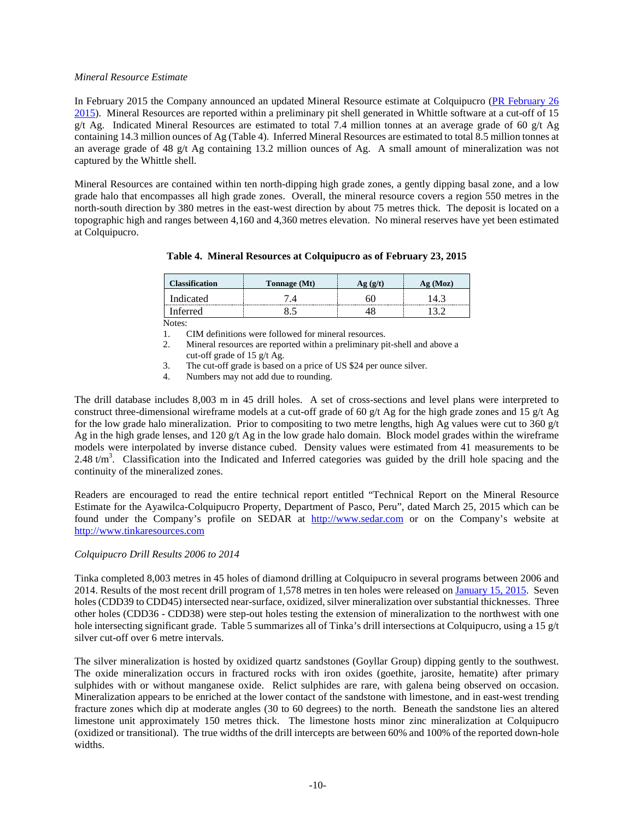## *Mineral Resource Estimate*

In February 2015 the Company announced an updated Mineral Resource estimate at Colquipucro [\(PR February 26](http://www.tinkaresources.com/s/NewsReleases.asp?ReportID=697874&_Type=News&_Title=Tinka-Announces-Initial-Inferred-Zinc-Resource-of-13.3-Million-Tonnes-Gradi...)  [2015\)](http://www.tinkaresources.com/s/NewsReleases.asp?ReportID=697874&_Type=News&_Title=Tinka-Announces-Initial-Inferred-Zinc-Resource-of-13.3-Million-Tonnes-Gradi...). Mineral Resources are reported within a preliminary pit shell generated in Whittle software at a cut-off of 15 g/t Ag. Indicated Mineral Resources are estimated to total 7.4 million tonnes at an average grade of 60 g/t Ag containing 14.3 million ounces of Ag (Table 4). Inferred Mineral Resources are estimated to total 8.5 million tonnes at an average grade of 48 g/t Ag containing 13.2 million ounces of Ag. A small amount of mineralization was not captured by the Whittle shell.

Mineral Resources are contained within ten north-dipping high grade zones, a gently dipping basal zone, and a low grade halo that encompasses all high grade zones. Overall, the mineral resource covers a region 550 metres in the north-south direction by 380 metres in the east-west direction by about 75 metres thick. The deposit is located on a topographic high and ranges between 4,160 and 4,360 metres elevation. No mineral reserves have yet been estimated at Colquipucro.

|  | Table 4. Mineral Resources at Colquipucro as of February 23, 2015 |  |  |  |
|--|-------------------------------------------------------------------|--|--|--|
|  |                                                                   |  |  |  |

| <b>Classification</b> | Tonnage (Mt) |     | (Moz) |
|-----------------------|--------------|-----|-------|
| Indicated             |              | ገ\. |       |
| Inferred              |              |     |       |

Notes:

1. CIM definitions were followed for mineral resources.

- 2. Mineral resources are reported within a preliminary pit-shell and above a cut-off grade of 15 g/t Ag.
- 3. The cut-off grade is based on a price of US \$24 per ounce silver.
- 4. Numbers may not add due to rounding.

The drill database includes 8,003 m in 45 drill holes. A set of cross-sections and level plans were interpreted to construct three-dimensional wireframe models at a cut-off grade of 60  $g/t$  Ag for the high grade zones and 15  $g/t$  Ag for the low grade halo mineralization. Prior to compositing to two metre lengths, high Ag values were cut to  $360 \text{ g/t}$ Ag in the high grade lenses, and 120 g/t Ag in the low grade halo domain. Block model grades within the wireframe models were interpolated by inverse distance cubed. Density values were estimated from 41 measurements to be 2.48  $t/m<sup>3</sup>$ . Classification into the Indicated and Inferred categories was guided by the drill hole spacing and the continuity of the mineralized zones.

Readers are encouraged to read the entire technical report entitled "Technical Report on the Mineral Resource Estimate for the Ayawilca-Colquipucro Property, Department of Pasco, Peru", dated March 25, 2015 which can be found under the Company's profile on SEDAR at [http://www.sedar.com](http://www.sedar.com/) or on the Company's website at [http://www.tinkaresources.com](http://www.tinkaresources.com/)

# *Colquipucro Drill Results 2006 to 2014*

Tinka completed 8,003 metres in 45 holes of diamond drilling at Colquipucro in several programs between 2006 and 2014. Results of the most recent drill program of 1,578 metres in ten holes were released on [January 15, 2015.](http://www.tinkaresources.com/s/NewsReleases.asp?ReportID=691218&_Type=News&_Title=Tinka-Announces-Results-Of-1600-Metre-Ten-Hole-Drill-Program-At-Colquipucro...) Seven holes (CDD39 to CDD45) intersected near-surface, oxidized, silver mineralization over substantial thicknesses. Three other holes (CDD36 - CDD38) were step-out holes testing the extension of mineralization to the northwest with one hole intersecting significant grade. Table 5 summarizes all of Tinka's drill intersections at Colquipucro, using a 15 g/t silver cut-off over 6 metre intervals.

The silver mineralization is hosted by oxidized quartz sandstones (Goyllar Group) dipping gently to the southwest. The oxide mineralization occurs in fractured rocks with iron oxides (goethite, jarosite, hematite) after primary sulphides with or without manganese oxide. Relict sulphides are rare, with galena being observed on occasion. Mineralization appears to be enriched at the lower contact of the sandstone with limestone, and in east-west trending fracture zones which dip at moderate angles (30 to 60 degrees) to the north. Beneath the sandstone lies an altered limestone unit approximately 150 metres thick. The limestone hosts minor zinc mineralization at Colquipucro (oxidized or transitional). The true widths of the drill intercepts are between 60% and 100% of the reported down-hole widths.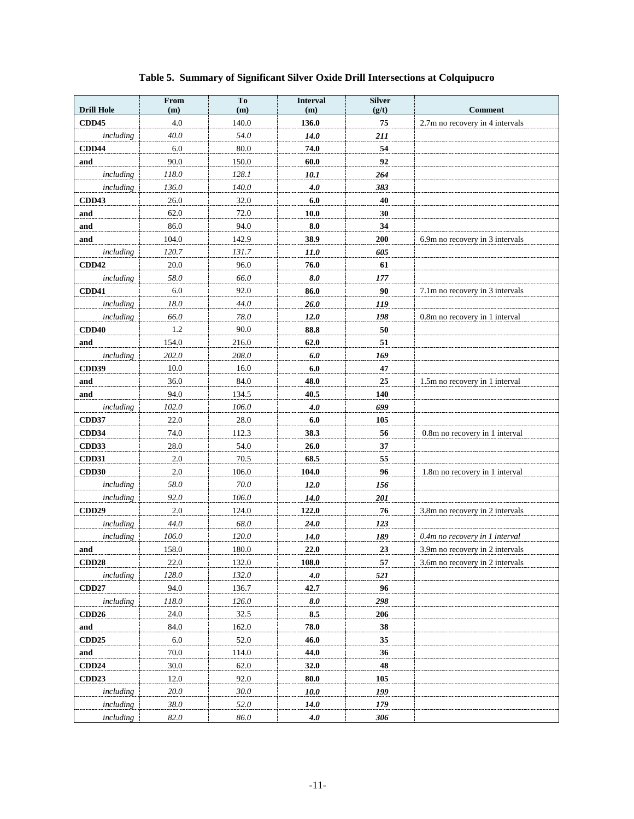# **Table 5. Summary of Significant Silver Oxide Drill Intersections at Colquipucro**

|                   | From     | To    | <b>Interval</b> | <b>Silver</b> |                                 |
|-------------------|----------|-------|-----------------|---------------|---------------------------------|
| <b>Drill Hole</b> | (m)      | (m)   | (m)             | (g/t)         | <b>Comment</b>                  |
| <b>CDD45</b>      | 4.0      | 140.0 | 136.0           | 75            | 2.7m no recovery in 4 intervals |
| including         | 40.0     | 54.0  | 14.0            | 211           |                                 |
| <b>CDD44</b>      | 6.0      | 80.0  | 74.0            | 54            |                                 |
| and               | 90.0     | 150.0 | 60.0            | 92            |                                 |
| including         | 118.0    | 128.1 | 10.1            | 264           |                                 |
| including         | 136.0    | 140.0 | 4.0             | 383           |                                 |
| CDD43             | 26.0     | 32.0  | 6.0             | 40            |                                 |
| and               | 62.0     | 72.0  | 10.0            | 30            |                                 |
| and               | 86.0     | 94.0  | 8.0             | 34            |                                 |
| and               | 104.0    | 142.9 | 38.9            | 200           | 6.9m no recovery in 3 intervals |
| including         | 120.7    | 131.7 | 11.0            | 605           |                                 |
| <b>CDD42</b>      | 20.0     | 96.0  | 76.0            | 61            |                                 |
| including         | 58.0     | 66.0  | 8.0             | 177           |                                 |
| CDD41             | 6.0      | 92.0  | 86.0            | 90            | 7.1m no recovery in 3 intervals |
| including         | $18.0\,$ | 44.0  | 26.0            | 119           |                                 |
| including         | 66.0     | 78.0  | 12.0            | 198           | 0.8m no recovery in 1 interval  |
| <b>CDD40</b>      | 1.2      | 90.0  | 88.8            | 50            |                                 |
| and               | 154.0    | 216.0 | 62.0            | 51            |                                 |
| including         | 202.0    | 208.0 | 6.0             | 169           |                                 |
| <b>CDD39</b>      | 10.0     | 16.0  | 6.0             | 47            |                                 |
| and               | 36.0     | 84.0  | 48.0            | 25            | 1.5m no recovery in 1 interval  |
| and               | 94.0     | 134.5 | 40.5            | 140           |                                 |
| including         | 102.0    | 106.0 | 4.0             | 699           |                                 |
| <b>CDD37</b>      | 22.0     | 28.0  | 6.0             | 105           |                                 |
| <b>CDD34</b>      | 74.0     | 112.3 | 38.3            | 56            | 0.8m no recovery in 1 interval  |
| CDD33             | 28.0     | 54.0  | 26.0            | 37            |                                 |
| <b>CDD31</b>      | $2.0\,$  | 70.5  | 68.5            | 55            |                                 |
| CDD <sub>30</sub> | 2.0      | 106.0 | 104.0           | 96            | 1.8m no recovery in 1 interval  |
| including         | 58.0     | 70.0  | 12.0            | 156           |                                 |
| including         | 92.0     | 106.0 | 14.0            | 201           |                                 |
| CDD <sub>29</sub> | 2.0      | 124.0 | 122.0           | 76            | 3.8m no recovery in 2 intervals |
| including         | 44.0     | 68.0  | <b>24.0</b>     | 123           |                                 |
| including         | 106.0    | 120.0 | 14.0            | 189           | 0.4m no recovery in 1 interval  |
| and               | 158.0    | 180.0 | 22.0            | 23            | 3.9m no recovery in 2 intervals |
| <b>CDD28</b>      | 22.0     | 132.0 | 108.0           | 57            | 3.6m no recovery in 2 intervals |
| including         | 128.0    | 132.0 | 4.0             | 521           |                                 |
| <b>CDD27</b>      | 94.0     | 136.7 | 42.7            | 96            |                                 |
| including         | 118.0    | 126.0 | 8.0             | 298           |                                 |
| CDD26             | 24.0     | 32.5  | 8.5             | 206           |                                 |
| and               | 84.0     | 162.0 | 78.0            | 38            |                                 |
| <b>CDD25</b>      | 6.0      | 52.0  | 46.0            | 35            |                                 |
| and               | 70.0     | 114.0 | 44.0            | 36            |                                 |
| <b>CDD24</b>      | 30.0     | 62.0  | 32.0            | 48            |                                 |
| <b>CDD23</b>      | 12.0     | 92.0  | 80.0            | 105           |                                 |
| including         | 20.0     | 30.0  | 10.0            | 199           |                                 |
| including         | 38.0     | 52.0  | <b>14.0</b>     | 179           |                                 |
| including         | 82.0     | 86.0  | 4.0             | 306           |                                 |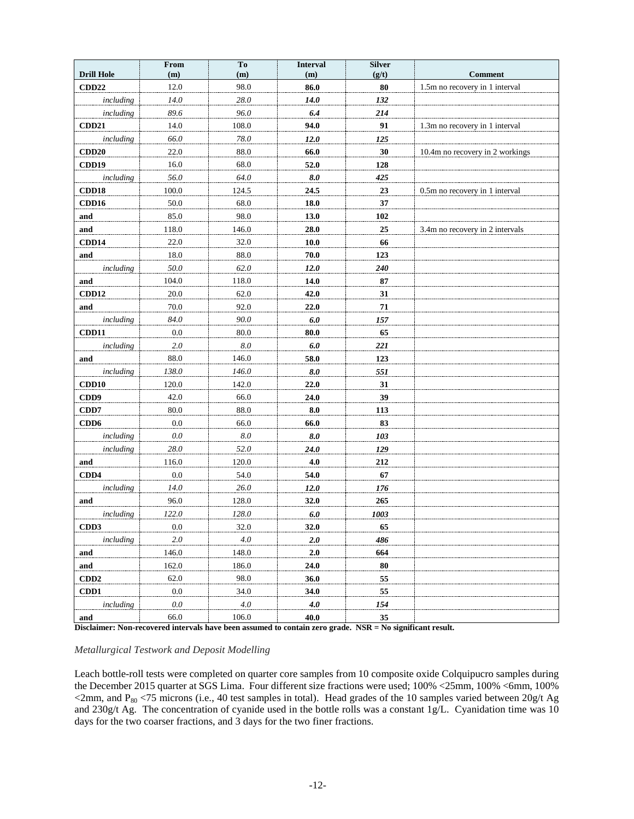| <b>Drill Hole</b> | From<br>(m) | To<br>(m) | <b>Interval</b><br>(m) | <b>Silver</b><br>(g/t) | <b>Comment</b>                  |
|-------------------|-------------|-----------|------------------------|------------------------|---------------------------------|
| <b>CDD22</b>      | 12.0        | 98.0      | 86.0                   | 80                     | 1.5m no recovery in 1 interval  |
| including         | 14.0        | 28.0      | 14.0                   | 132                    |                                 |
| including         | 89.6        | 96.0      | 6.4                    | 214                    |                                 |
| <b>CDD21</b>      | 14.0        | 108.0     | 94.0                   | 91                     | 1.3m no recovery in 1 interval  |
| including         | 66.0        | $78.0\,$  | 12.0                   | 125                    |                                 |
| CDD <sub>20</sub> | 22.0        | 88.0      | 66.0                   | 30                     | 10.4m no recovery in 2 workings |
| CDD19             | 16.0        | 68.0      | 52.0                   | 128                    |                                 |
| including         | 56.0        | 64.0      | 8.0                    | 425                    |                                 |
| CDD18             | 100.0       | 124.5     | 24.5                   | 23                     | 0.5m no recovery in 1 interval  |
| CDD16             | 50.0        | 68.0      | 18.0                   | 37                     |                                 |
| and               | 85.0        | 98.0      | 13.0                   | 102                    |                                 |
| and               | 118.0       | 146.0     | 28.0                   | 25                     | 3.4m no recovery in 2 intervals |
| CDD14             | 22.0        | 32.0      | 10.0                   | 66                     |                                 |
| and               | 18.0        | 88.0      | 70.0                   | 123                    |                                 |
| including         | 50.0        | 62.0      | 12.0                   | 240                    |                                 |
| and               | 104.0       | 118.0     | 14.0                   | 87                     |                                 |
| CDD12             | $20.0\,$    | 62.0      | 42.0                   | 31                     |                                 |
| and               | 70.0        | 92.0      | 22.0                   | 71                     |                                 |
| including         | 84.0        | 90.0      | 6.0                    | 157                    |                                 |
| <b>CDD11</b>      | 0.0         | 80.0      | 80.0                   | 65                     |                                 |
| including         | 2.0         | 8.0       | 6.0                    | 221                    |                                 |
| and               | 88.0        | 146.0     | 58.0                   | 123                    |                                 |
| including         | 138.0       | 146.0     | 8.0                    | 551                    |                                 |
| CDD10             | 120.0       | 142.0     | 22.0                   | 31                     |                                 |
| CDD <sub>9</sub>  | 42.0        | 66.0      | 24.0                   | 39                     |                                 |
| CDD7              | 80.0        | 88.0      | 8.0                    | 113                    |                                 |
| CDD <sub>6</sub>  | 0.0         | 66.0      | 66.0                   | 83                     |                                 |
| including         | $0.0\,$     | $8.0\,$   | 8.0                    | 103                    |                                 |
| including         | 28.0        | 52.0      | 24.0                   | 129                    |                                 |
| and               | 116.0       | 120.0     | 4.0                    | 212                    |                                 |
| CDD4              | 0.0         | 54.0      | 54.0                   | 67                     |                                 |
| including         | 14.0        | 26.0      | 12.0                   | 176                    |                                 |
| and               | 96.0        | 128.0     | 32.0                   | 265                    |                                 |
| including         | 122.0       | 128.0     | $6.0$                  | 1003                   |                                 |
| CDD3              | 0.0         | 32.0      | 32.0                   | 65                     |                                 |
| including         | $2.0\,$     | 4.0       | 2.0                    | 486                    |                                 |
| and               | 146.0       | 148.0     | 2.0                    | 664                    |                                 |
| and               | 162.0       | 186.0     | 24.0                   | 80                     |                                 |
| CDD2              | 62.0        | 98.0      | 36.0                   | 55                     |                                 |
| CD <sub>D</sub> 1 | 0.0         | 34.0      | 34.0                   | 55                     |                                 |
| including         | $0.0\,$     | 4.0       | 4.0                    | 154                    |                                 |
| and               | 66.0        | 106.0     | 40.0                   | 35                     |                                 |

**Disclaimer: Non-recovered intervals have been assumed to contain zero grade. NSR = No significant result.**

## *Metallurgical Testwork and Deposit Modelling*

Leach bottle-roll tests were completed on quarter core samples from 10 composite oxide Colquipucro samples during the December 2015 quarter at SGS Lima. Four different size fractions were used; 100% <25mm, 100% <6mm, 100% <2mm, and  $P_{80}$  <75 microns (i.e., 40 test samples in total). Head grades of the 10 samples varied between 20g/t Ag and 230g/t Ag. The concentration of cyanide used in the bottle rolls was a constant 1g/L. Cyanidation time was 10 days for the two coarser fractions, and 3 days for the two finer fractions.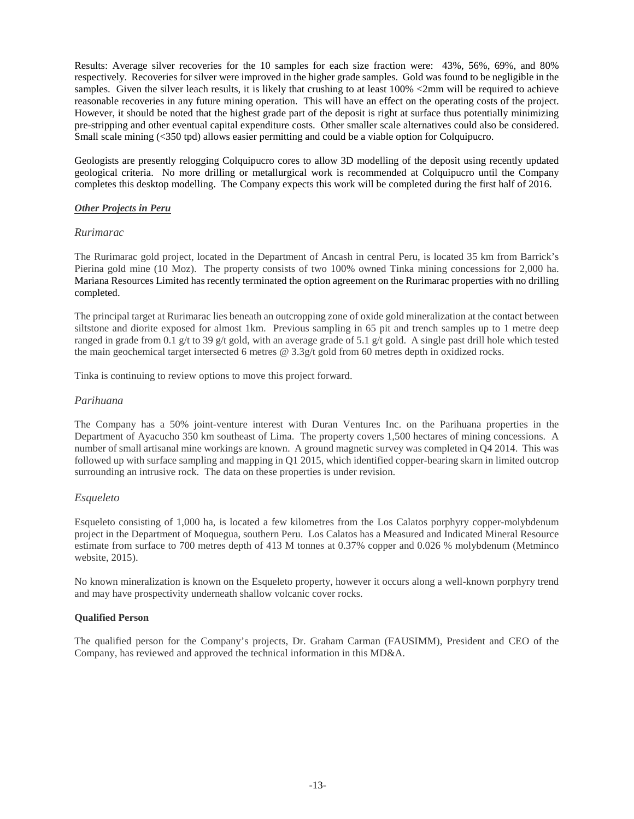Results: Average silver recoveries for the 10 samples for each size fraction were: 43%, 56%, 69%, and 80% respectively. Recoveries for silver were improved in the higher grade samples. Gold was found to be negligible in the samples. Given the silver leach results, it is likely that crushing to at least  $100\%$  <2mm will be required to achieve reasonable recoveries in any future mining operation. This will have an effect on the operating costs of the project. However, it should be noted that the highest grade part of the deposit is right at surface thus potentially minimizing pre-stripping and other eventual capital expenditure costs. Other smaller scale alternatives could also be considered. Small scale mining (<350 tpd) allows easier permitting and could be a viable option for Colquipucro.

Geologists are presently relogging Colquipucro cores to allow 3D modelling of the deposit using recently updated geological criteria. No more drilling or metallurgical work is recommended at Colquipucro until the Company completes this desktop modelling. The Company expects this work will be completed during the first half of 2016.

# *Other Projects in Peru*

## *Rurimarac*

The Rurimarac gold project, located in the Department of Ancash in central Peru, is located 35 km from Barrick's Pierina gold mine (10 Moz). The property consists of two 100% owned Tinka mining concessions for 2,000 ha. Mariana Resources Limited has recently terminated the option agreement on the Rurimarac properties with no drilling completed.

The principal target at Rurimarac lies beneath an outcropping zone of oxide gold mineralization at the contact between siltstone and diorite exposed for almost 1km. Previous sampling in 65 pit and trench samples up to 1 metre deep ranged in grade from 0.1 g/t to 39 g/t gold, with an average grade of 5.1 g/t gold. A single past drill hole which tested the main geochemical target intersected 6 metres @ 3.3g/t gold from 60 metres depth in oxidized rocks.

Tinka is continuing to review options to move this project forward.

## *Parihuana*

The Company has a 50% joint-venture interest with Duran Ventures Inc. on the Parihuana properties in the Department of Ayacucho 350 km southeast of Lima. The property covers 1,500 hectares of mining concessions. A number of small artisanal mine workings are known. A ground magnetic survey was completed in Q4 2014. This was followed up with surface sampling and mapping in Q1 2015, which identified copper-bearing skarn in limited outcrop surrounding an intrusive rock. The data on these properties is under revision.

# *Esqueleto*

Esqueleto consisting of 1,000 ha, is located a few kilometres from the Los Calatos porphyry copper-molybdenum project in the Department of Moquegua, southern Peru. Los Calatos has a Measured and Indicated Mineral Resource estimate from surface to 700 metres depth of 413 M tonnes at 0.37% copper and 0.026 % molybdenum (Metminco website, 2015).

No known mineralization is known on the Esqueleto property, however it occurs along a well-known porphyry trend and may have prospectivity underneath shallow volcanic cover rocks.

# **Qualified Person**

The qualified person for the Company's projects, Dr. Graham Carman (FAUSIMM), President and CEO of the Company, has reviewed and approved the technical information in this MD&A.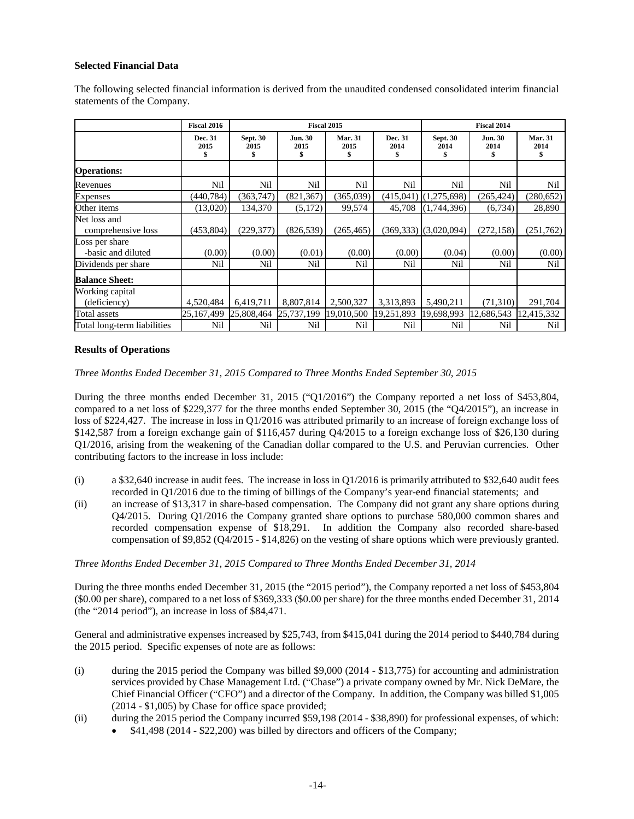# **Selected Financial Data**

The following selected financial information is derived from the unaudited condensed consolidated interim financial statements of the Company.

|                                      | Fiscal 2016           | Fiscal 2015                   |                             | Fiscal 2014                  |                       |                               |                              |                              |
|--------------------------------------|-----------------------|-------------------------------|-----------------------------|------------------------------|-----------------------|-------------------------------|------------------------------|------------------------------|
|                                      | Dec. 31<br>2015<br>\$ | <b>Sept. 30</b><br>2015<br>\$ | <b>Jun. 30</b><br>2015<br>S | <b>Mar. 31</b><br>2015<br>\$ | Dec. 31<br>2014<br>\$ | <b>Sept. 30</b><br>2014<br>\$ | <b>Jun. 30</b><br>2014<br>\$ | <b>Mar. 31</b><br>2014<br>\$ |
| <b>Operations:</b>                   |                       |                               |                             |                              |                       |                               |                              |                              |
| Revenues                             | Nil                   | Nil                           | Nil                         | Nil                          | Nil                   | Nil                           | Nil                          | Nil                          |
| <b>Expenses</b>                      | (440, 784)            | (363, 747)                    | (821, 367)                  | (365,039)                    | (415,041)             | (1,275,698)                   | (265, 424)                   | (280, 652)                   |
| Other items                          | (13,020)              | 134,370                       | (5,172)                     | 99,574                       | 45,708                | (1,744,396)                   | (6, 734)                     | 28,890                       |
| Net loss and<br>comprehensive loss   | (453, 804)            | (229, 377)                    | (826, 539)                  | (265, 465)                   |                       | $(369,333)$ $(3,020,094)$     | (272, 158)                   | (251,762)                    |
| Loss per share<br>-basic and diluted | (0.00)                | (0.00)                        | (0.01)                      | (0.00)                       | (0.00)                | (0.04)                        | (0.00)                       | (0.00)                       |
| Dividends per share                  | Nil                   | Nil                           | Nil                         | Nil                          | Nil                   | Nil                           | Nil                          | Nil                          |
| <b>Balance Sheet:</b>                |                       |                               |                             |                              |                       |                               |                              |                              |
| Working capital                      |                       |                               |                             |                              |                       |                               |                              |                              |
| (deficiency)                         | 4,520,484             | 6,419,711                     | 8,807,814                   | 2,500,327                    | 3,313,893             | 5,490,211                     | (71,310)                     | 291,704                      |
| Total assets                         | 25,167,499            | 25,808,464                    | 25,737,199                  | 19,010,500                   | 19,251,893            | 19,698,993                    | 12,686,543                   | 12,415,332                   |
| Total long-term liabilities          | Nil                   | Nil                           | Nil                         | Nil                          | Nil                   | Nil                           | Nil                          | Nil                          |

#### **Results of Operations**

*Three Months Ended December 31, 2015 Compared to Three Months Ended September 30, 2015*

During the three months ended December 31, 2015 ("Q1/2016") the Company reported a net loss of \$453,804, compared to a net loss of \$229,377 for the three months ended September 30, 2015 (the "Q4/2015"), an increase in loss of \$224,427. The increase in loss in Q1/2016 was attributed primarily to an increase of foreign exchange loss of \$142,587 from a foreign exchange gain of \$116,457 during Q4/2015 to a foreign exchange loss of \$26,130 during Q1/2016, arising from the weakening of the Canadian dollar compared to the U.S. and Peruvian currencies. Other contributing factors to the increase in loss include:

- (i) a \$32,640 increase in audit fees. The increase in loss in  $O1/2016$  is primarily attributed to \$32,640 audit fees recorded in Q1/2016 due to the timing of billings of the Company's year-end financial statements; and
- (ii) an increase of \$13,317 in share-based compensation. The Company did not grant any share options during Q4/2015. During Q1/2016 the Company granted share options to purchase 580,000 common shares and recorded compensation expense of \$18,291. In addition the Company also recorded share-based compensation of \$9,852 (Q4/2015 - \$14,826) on the vesting of share options which were previously granted.

## *Three Months Ended December 31, 2015 Compared to Three Months Ended December 31, 2014*

During the three months ended December 31, 2015 (the "2015 period"), the Company reported a net loss of \$453,804 (\$0.00 per share), compared to a net loss of \$369,333 (\$0.00 per share) for the three months ended December 31, 2014 (the "2014 period"), an increase in loss of \$84,471.

General and administrative expenses increased by \$25,743, from \$415,041 during the 2014 period to \$440,784 during the 2015 period. Specific expenses of note are as follows:

- (i) during the 2015 period the Company was billed \$9,000 (2014 \$13,775) for accounting and administration services provided by Chase Management Ltd. ("Chase") a private company owned by Mr. Nick DeMare, the Chief Financial Officer ("CFO") and a director of the Company. In addition, the Company was billed \$1,005 (2014 - \$1,005) by Chase for office space provided;
- (ii) during the 2015 period the Company incurred \$59,198 (2014 \$38,890) for professional expenses, of which: • \$41,498 (2014 - \$22,200) was billed by directors and officers of the Company;
	- -14-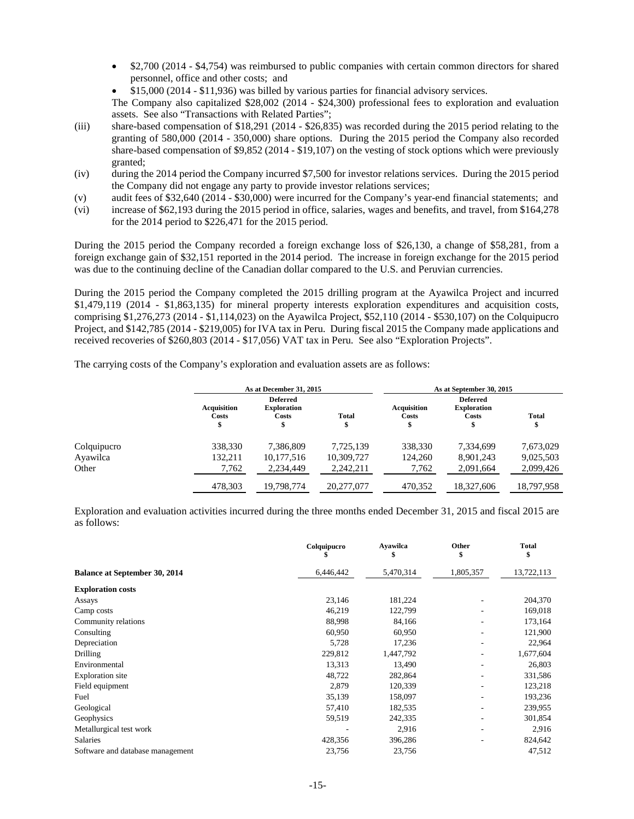- \$2,700 (2014 \$4,754) was reimbursed to public companies with certain common directors for shared personnel, office and other costs; and
- \$15,000 (2014 \$11,936) was billed by various parties for financial advisory services.

The Company also capitalized \$28,002 (2014 - \$24,300) professional fees to exploration and evaluation assets. See also "Transactions with Related Parties";

- (iii) share-based compensation of \$18,291 (2014 \$26,835) was recorded during the 2015 period relating to the granting of 580,000 (2014 - 350,000) share options. During the 2015 period the Company also recorded share-based compensation of \$9,852 (2014 - \$19,107) on the vesting of stock options which were previously granted;
- (iv) during the 2014 period the Company incurred \$7,500 for investor relations services. During the 2015 period the Company did not engage any party to provide investor relations services;
- (v) audit fees of \$32,640 (2014 \$30,000) were incurred for the Company's year-end financial statements; and
- (vi) increase of \$62,193 during the 2015 period in office, salaries, wages and benefits, and travel, from \$164,278 for the 2014 period to \$226,471 for the 2015 period.

During the 2015 period the Company recorded a foreign exchange loss of \$26,130, a change of \$58,281, from a foreign exchange gain of \$32,151 reported in the 2014 period. The increase in foreign exchange for the 2015 period was due to the continuing decline of the Canadian dollar compared to the U.S. and Peruvian currencies.

During the 2015 period the Company completed the 2015 drilling program at the Ayawilca Project and incurred \$1,479,119 (2014 - \$1,863,135) for mineral property interests exploration expenditures and acquisition costs, comprising \$1,276,273 (2014 - \$1,114,023) on the Ayawilca Project, \$52,110 (2014 - \$530,107) on the Colquipucro Project, and \$142,785 (2014 - \$219,005) for IVA tax in Peru. During fiscal 2015 the Company made applications and received recoveries of \$260,803 (2014 - \$17,056) VAT tax in Peru. See also "Exploration Projects".

The carrying costs of the Company's exploration and evaluation assets are as follows:

|             |                             | As at December 31, 2015                               |                    |                             | As at September 30, 2015                       |                    |  |  |
|-------------|-----------------------------|-------------------------------------------------------|--------------------|-----------------------------|------------------------------------------------|--------------------|--|--|
|             | <b>Acquisition</b><br>Costs | <b>Deferred</b><br><b>Exploration</b><br><b>Costs</b> | <b>Total</b><br>\$ | <b>Acquisition</b><br>Costs | <b>Deferred</b><br><b>Exploration</b><br>Costs | <b>Total</b><br>\$ |  |  |
| Colquipucro | 338,330                     | 7,386,809                                             | 7.725.139          | 338,330                     | 7,334,699                                      | 7,673,029          |  |  |
| Ayawilca    | 132.211                     | 10,177,516                                            | 10,309,727         | 124,260                     | 8.901.243                                      | 9,025,503          |  |  |
| Other       | 7,762                       | 2.234.449                                             | 2,242,211          | 7,762                       | 2,091,664                                      | 2,099,426          |  |  |
|             | 478,303                     | 19,798,774                                            | 20,277,077         | 470.352                     | 18,327,606                                     | 18,797,958         |  |  |

Exploration and evaluation activities incurred during the three months ended December 31, 2015 and fiscal 2015 are as follows:

|                                      | Colquipucro | Ayawilca  | Other                    | <b>Total</b><br>\$ |
|--------------------------------------|-------------|-----------|--------------------------|--------------------|
| <b>Balance at September 30, 2014</b> | 6,446,442   | 5,470,314 | 1,805,357                | 13,722,113         |
| <b>Exploration costs</b>             |             |           |                          |                    |
| Assays                               | 23,146      | 181,224   |                          | 204,370            |
| Camp costs                           | 46,219      | 122,799   | ٠                        | 169,018            |
| Community relations                  | 88,998      | 84,166    | ٠                        | 173,164            |
| Consulting                           | 60,950      | 60,950    | $\overline{\phantom{a}}$ | 121,900            |
| Depreciation                         | 5,728       | 17,236    | ٠                        | 22,964             |
| Drilling                             | 229,812     | 1,447,792 | ٠                        | 1,677,604          |
| Environmental                        | 13,313      | 13,490    | $\overline{\phantom{a}}$ | 26,803             |
| <b>Exploration</b> site              | 48,722      | 282,864   | ٠                        | 331,586            |
| Field equipment                      | 2,879       | 120,339   | ٠                        | 123,218            |
| Fuel                                 | 35,139      | 158,097   | ٠                        | 193,236            |
| Geological                           | 57,410      | 182,535   | ٠                        | 239,955            |
| Geophysics                           | 59,519      | 242,335   | ٠                        | 301,854            |
| Metallurgical test work              |             | 2,916     | ٠                        | 2,916              |
| Salaries                             | 428,356     | 396,286   |                          | 824,642            |
| Software and database management     | 23,756      | 23,756    |                          | 47,512             |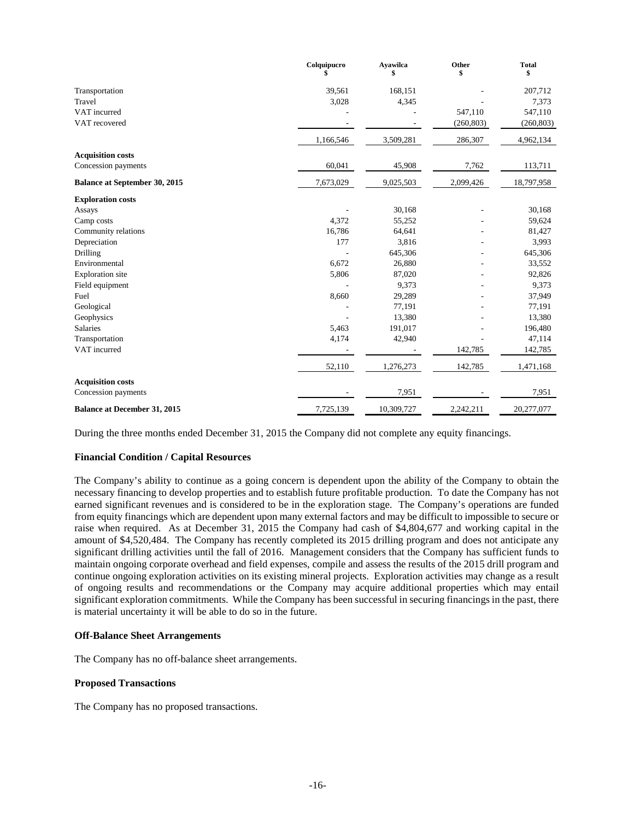|                                      | Colquipucro<br>\$ | <b>Avawilca</b><br>\$ | Other<br>\$ | <b>Total</b><br>\$ |
|--------------------------------------|-------------------|-----------------------|-------------|--------------------|
| Transportation                       | 39,561            | 168,151               |             | 207,712            |
| Travel                               | 3,028             | 4,345                 |             | 7,373              |
| VAT incurred                         |                   |                       | 547,110     | 547,110            |
| VAT recovered                        |                   |                       | (260, 803)  | (260, 803)         |
|                                      | 1,166,546         | 3,509,281             | 286,307     | 4,962,134          |
| <b>Acquisition costs</b>             |                   |                       |             |                    |
| Concession payments                  | 60,041            | 45,908                | 7,762       | 113,711            |
| <b>Balance at September 30, 2015</b> | 7,673,029         | 9,025,503             | 2,099,426   | 18,797,958         |
| <b>Exploration costs</b>             |                   |                       |             |                    |
| Assays                               |                   | 30,168                |             | 30,168             |
| Camp costs                           | 4,372             | 55,252                |             | 59,624             |
| Community relations                  | 16,786            | 64,641                |             | 81,427             |
| Depreciation                         | 177               | 3,816                 |             | 3,993              |
| Drilling                             |                   | 645,306               |             | 645,306            |
| Environmental                        | 6,672             | 26,880                |             | 33,552             |
| <b>Exploration</b> site              | 5,806             | 87,020                |             | 92,826             |
| Field equipment                      |                   | 9,373                 |             | 9,373              |
| Fuel                                 | 8,660             | 29,289                |             | 37,949             |
| Geological                           |                   | 77,191                |             | 77,191             |
| Geophysics                           |                   | 13,380                |             | 13,380             |
| Salaries                             | 5,463             | 191,017               |             | 196,480            |
| Transportation                       | 4,174             | 42,940                |             | 47,114             |
| VAT incurred                         |                   |                       | 142,785     | 142,785            |
|                                      | 52,110            | 1,276,273             | 142,785     | 1,471,168          |
| <b>Acquisition costs</b>             |                   |                       |             |                    |
| Concession payments                  |                   | 7,951                 |             | 7,951              |
| <b>Balance at December 31, 2015</b>  | 7,725,139         | 10,309,727            | 2,242,211   | 20,277,077         |

During the three months ended December 31, 2015 the Company did not complete any equity financings.

## **Financial Condition / Capital Resources**

The Company's ability to continue as a going concern is dependent upon the ability of the Company to obtain the necessary financing to develop properties and to establish future profitable production. To date the Company has not earned significant revenues and is considered to be in the exploration stage. The Company's operations are funded from equity financings which are dependent upon many external factors and may be difficult to impossible to secure or raise when required. As at December 31, 2015 the Company had cash of \$4,804,677 and working capital in the amount of \$4,520,484. The Company has recently completed its 2015 drilling program and does not anticipate any significant drilling activities until the fall of 2016. Management considers that the Company has sufficient funds to maintain ongoing corporate overhead and field expenses, compile and assess the results of the 2015 drill program and continue ongoing exploration activities on its existing mineral projects. Exploration activities may change as a result of ongoing results and recommendations or the Company may acquire additional properties which may entail significant exploration commitments. While the Company has been successful in securing financings in the past, there is material uncertainty it will be able to do so in the future.

#### **Off-Balance Sheet Arrangements**

The Company has no off-balance sheet arrangements.

#### **Proposed Transactions**

The Company has no proposed transactions.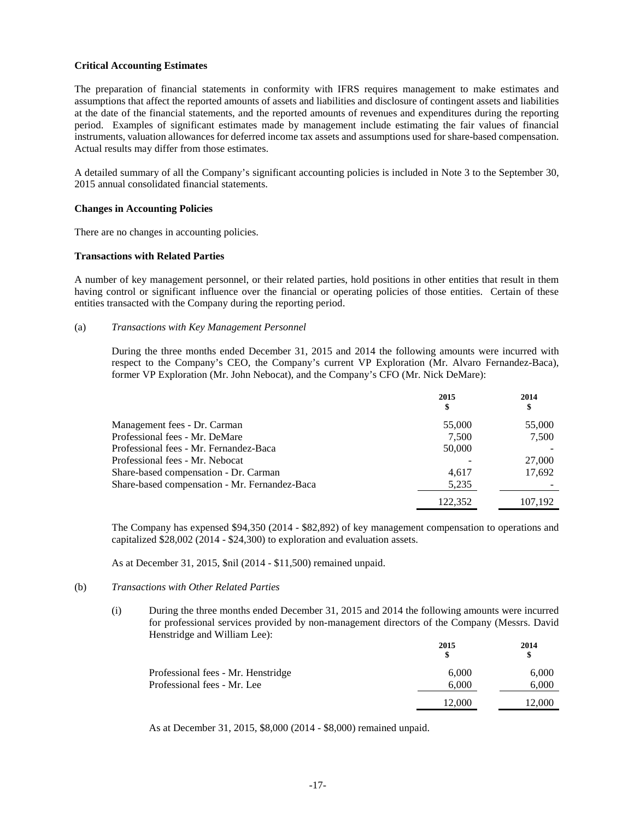#### **Critical Accounting Estimates**

The preparation of financial statements in conformity with IFRS requires management to make estimates and assumptions that affect the reported amounts of assets and liabilities and disclosure of contingent assets and liabilities at the date of the financial statements, and the reported amounts of revenues and expenditures during the reporting period. Examples of significant estimates made by management include estimating the fair values of financial instruments, valuation allowances for deferred income tax assets and assumptions used for share-based compensation. Actual results may differ from those estimates.

A detailed summary of all the Company's significant accounting policies is included in Note 3 to the September 30, 2015 annual consolidated financial statements.

#### **Changes in Accounting Policies**

There are no changes in accounting policies.

## **Transactions with Related Parties**

A number of key management personnel, or their related parties, hold positions in other entities that result in them having control or significant influence over the financial or operating policies of those entities. Certain of these entities transacted with the Company during the reporting period.

#### (a) *Transactions with Key Management Personnel*

During the three months ended December 31, 2015 and 2014 the following amounts were incurred with respect to the Company's CEO, the Company's current VP Exploration (Mr. Alvaro Fernandez-Baca), former VP Exploration (Mr. John Nebocat), and the Company's CFO (Mr. Nick DeMare):

|                                               | 2015<br>\$ | 2014<br>\$ |
|-----------------------------------------------|------------|------------|
| Management fees - Dr. Carman                  | 55,000     | 55,000     |
| Professional fees - Mr. DeMare                | 7,500      | 7,500      |
| Professional fees - Mr. Fernandez-Baca        | 50,000     |            |
| Professional fees - Mr. Nebocat               |            | 27,000     |
| Share-based compensation - Dr. Carman         | 4.617      | 17,692     |
| Share-based compensation - Mr. Fernandez-Baca | 5,235      |            |
|                                               | 122,352    | 107.192    |

The Company has expensed \$94,350 (2014 - \$82,892) of key management compensation to operations and capitalized \$28,002 (2014 - \$24,300) to exploration and evaluation assets.

As at December 31, 2015, \$nil (2014 - \$11,500) remained unpaid.

#### (b) *Transactions with Other Related Parties*

(i) During the three months ended December 31, 2015 and 2014 the following amounts were incurred for professional services provided by non-management directors of the Company (Messrs. David Henstridge and William Lee):

|                                    | 2015<br>S | 2014   |  |
|------------------------------------|-----------|--------|--|
| Professional fees - Mr. Henstridge | 6.000     | 6,000  |  |
| Professional fees - Mr. Lee        | 6.000     | 6,000  |  |
|                                    | 12.000    | 12.000 |  |

As at December 31, 2015, \$8,000 (2014 - \$8,000) remained unpaid.